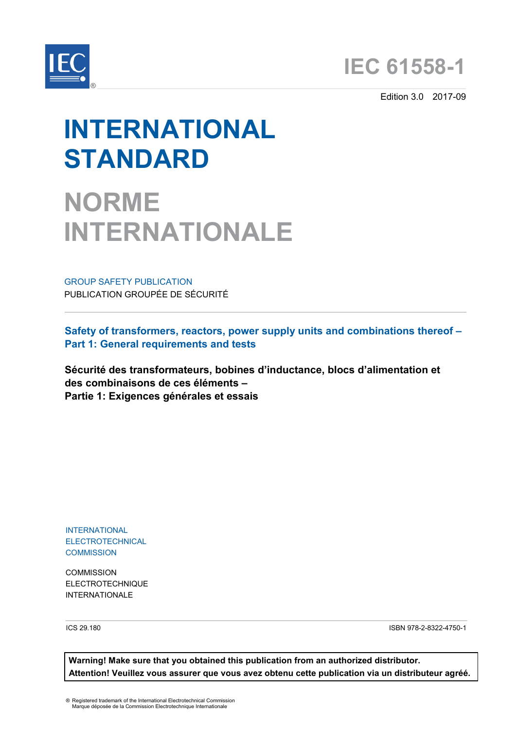

Edition 3.0 2017-09

# **INTERNATIONAL STANDARD**

# **NORME INTERNATIONALE**

GROUP SAFETY PUBLICATION PUBLICATION GROUPÉE DE SÉCURITÉ

**Safety of transformers, reactors, power supply units and combinations thereof – Part 1: General requirements and tests**

**Sécurité des transformateurs, bobines d'inductance, blocs d'alimentation et des combinaisons de ces éléments – Partie 1: Exigences générales et essais**

INTERNATIONAL **ELECTROTECHNICAL COMMISSION** 

**COMMISSION** ELECTROTECHNIQUE INTERNATIONALE

ICS 29.180 ISBN 978-2-8322-4750-1

**Warning! Make sure that you obtained this publication from an authorized distributor. Attention! Veuillez vous assurer que vous avez obtenu cette publication via un distributeur agréé.**

® Registered trademark of the International Electrotechnical Commission Marque déposée de la Commission Electrotechnique Internationale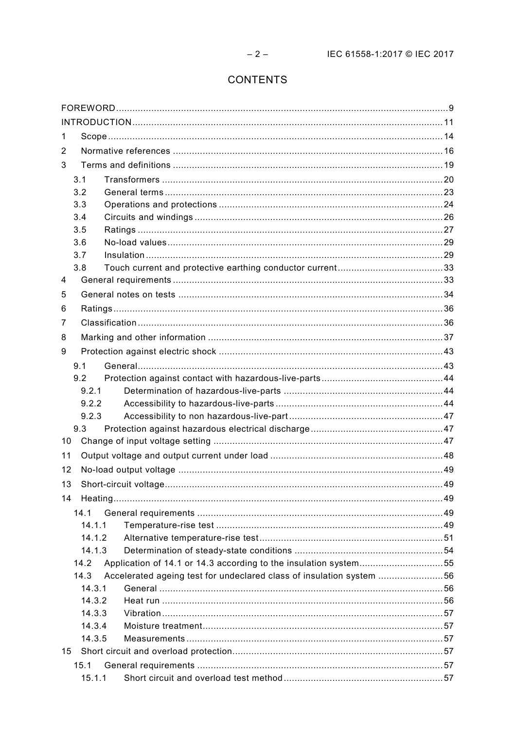# CONTENTS

| 1      |                                                                      |  |  |
|--------|----------------------------------------------------------------------|--|--|
| 2      |                                                                      |  |  |
| 3      |                                                                      |  |  |
| 3.1    |                                                                      |  |  |
| 3.2    |                                                                      |  |  |
| 3.3    |                                                                      |  |  |
| 3.4    |                                                                      |  |  |
| 3.5    |                                                                      |  |  |
| 3.6    |                                                                      |  |  |
| 3.7    |                                                                      |  |  |
| 3.8    |                                                                      |  |  |
| 4      |                                                                      |  |  |
| 5      |                                                                      |  |  |
| 6      |                                                                      |  |  |
| 7      |                                                                      |  |  |
| 8      |                                                                      |  |  |
| 9      |                                                                      |  |  |
| 9.1    |                                                                      |  |  |
| 9.2    |                                                                      |  |  |
| 9.2.1  |                                                                      |  |  |
| 9.2.2  |                                                                      |  |  |
| 9.2.3  |                                                                      |  |  |
| 9.3    |                                                                      |  |  |
| 10     |                                                                      |  |  |
| 11     |                                                                      |  |  |
| 12     |                                                                      |  |  |
| 13     |                                                                      |  |  |
| 14     |                                                                      |  |  |
| 14.1   |                                                                      |  |  |
| 14.1.1 |                                                                      |  |  |
| 14.1.2 |                                                                      |  |  |
| 14.1.3 |                                                                      |  |  |
| 14.2   | Application of 14.1 or 14.3 according to the insulation system55     |  |  |
| 14.3   | Accelerated ageing test for undeclared class of insulation system 56 |  |  |
| 14.3.1 |                                                                      |  |  |
| 14.3.2 |                                                                      |  |  |
| 14.3.3 |                                                                      |  |  |
| 14.3.4 |                                                                      |  |  |
| 14.3.5 |                                                                      |  |  |
| 15     |                                                                      |  |  |
| 15.1   |                                                                      |  |  |
| 15.1.1 |                                                                      |  |  |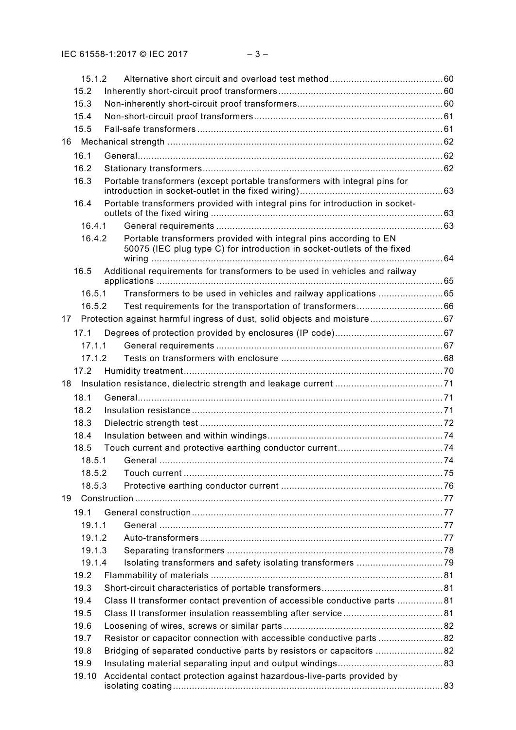| 15.1.2          |                                                                                                                                              |  |
|-----------------|----------------------------------------------------------------------------------------------------------------------------------------------|--|
| 15.2            |                                                                                                                                              |  |
| 15.3            |                                                                                                                                              |  |
| 15.4            |                                                                                                                                              |  |
| 15.5            |                                                                                                                                              |  |
|                 |                                                                                                                                              |  |
| 16.1            |                                                                                                                                              |  |
| 16.2            |                                                                                                                                              |  |
| 16.3            | Portable transformers (except portable transformers with integral pins for                                                                   |  |
| 16.4            | Portable transformers provided with integral pins for introduction in socket-                                                                |  |
| 16.4.1          |                                                                                                                                              |  |
| 16.4.2          | Portable transformers provided with integral pins according to EN<br>50075 (IEC plug type C) for introduction in socket-outlets of the fixed |  |
| 16.5            | Additional requirements for transformers to be used in vehicles and railway                                                                  |  |
| 16.5.1          | Transformers to be used in vehicles and railway applications 65                                                                              |  |
| 16.5.2          |                                                                                                                                              |  |
| 17              | Protection against harmful ingress of dust, solid objects and moisture 67                                                                    |  |
| 17.1            |                                                                                                                                              |  |
| 17.1.1          |                                                                                                                                              |  |
| 17.1.2          |                                                                                                                                              |  |
| 17.2            |                                                                                                                                              |  |
|                 |                                                                                                                                              |  |
| 18.1            |                                                                                                                                              |  |
| 18.2            |                                                                                                                                              |  |
| 18.3            |                                                                                                                                              |  |
| 18.4            |                                                                                                                                              |  |
| 18.5            |                                                                                                                                              |  |
|                 |                                                                                                                                              |  |
| 18.5.2          |                                                                                                                                              |  |
| 18.5.3          |                                                                                                                                              |  |
| 19              |                                                                                                                                              |  |
|                 |                                                                                                                                              |  |
| 19 <sub>1</sub> |                                                                                                                                              |  |
| 19.1.1          |                                                                                                                                              |  |
| 19.1.2          |                                                                                                                                              |  |
| 19.1.3          |                                                                                                                                              |  |
| 19.1.4          |                                                                                                                                              |  |
| 19.2            |                                                                                                                                              |  |
| 19.3            |                                                                                                                                              |  |
| 19.4            | Class II transformer contact prevention of accessible conductive parts 81                                                                    |  |
| 19.5            |                                                                                                                                              |  |
| 19.6            |                                                                                                                                              |  |
| 19.7            |                                                                                                                                              |  |
| 19.8            |                                                                                                                                              |  |
| 19.9            |                                                                                                                                              |  |
| 19.10           | Accidental contact protection against hazardous-live-parts provided by                                                                       |  |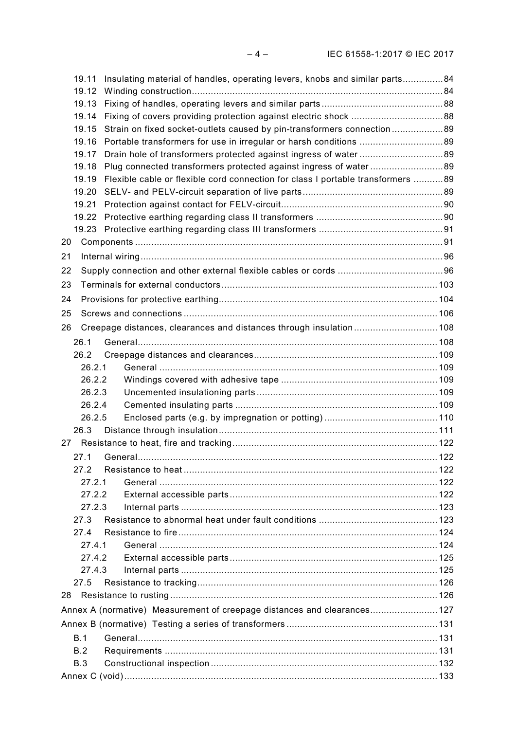| 19.11  | Insulating material of handles, operating levers, knobs and similar parts84     |  |
|--------|---------------------------------------------------------------------------------|--|
| 19.12  |                                                                                 |  |
| 19.13  |                                                                                 |  |
| 19.14  |                                                                                 |  |
| 19.15  | Strain on fixed socket-outlets caused by pin-transformers connection89          |  |
| 19.16  | Portable transformers for use in irregular or harsh conditions 89               |  |
| 19.17  |                                                                                 |  |
| 19.18  | Plug connected transformers protected against ingress of water89                |  |
| 19.19  | Flexible cable or flexible cord connection for class I portable transformers 89 |  |
| 19.20  |                                                                                 |  |
| 19.21  |                                                                                 |  |
| 19.22  |                                                                                 |  |
|        |                                                                                 |  |
| 20     |                                                                                 |  |
| 21     |                                                                                 |  |
| 22     |                                                                                 |  |
| 23     |                                                                                 |  |
| 24     |                                                                                 |  |
| 25     |                                                                                 |  |
| 26     |                                                                                 |  |
| 26.1   |                                                                                 |  |
| 26.2   |                                                                                 |  |
| 26.2.1 |                                                                                 |  |
| 26.2.2 |                                                                                 |  |
| 26.2.3 |                                                                                 |  |
| 26.2.4 |                                                                                 |  |
| 26.2.5 |                                                                                 |  |
| 26.3   |                                                                                 |  |
| 27     |                                                                                 |  |
| 27.1   |                                                                                 |  |
| 27.2   |                                                                                 |  |
| 27.2.1 |                                                                                 |  |
| 27.2.2 |                                                                                 |  |
| 27.2.3 |                                                                                 |  |
| 27.3   |                                                                                 |  |
| 27.4   |                                                                                 |  |
| 27.4.1 |                                                                                 |  |
| 27.4.2 |                                                                                 |  |
| 27.4.3 |                                                                                 |  |
| 27.5   |                                                                                 |  |
| 28     |                                                                                 |  |
|        | Annex A (normative) Measurement of creepage distances and clearances 127        |  |
|        |                                                                                 |  |
|        |                                                                                 |  |
| B.1    |                                                                                 |  |
| B.2    |                                                                                 |  |
| B.3    |                                                                                 |  |
|        |                                                                                 |  |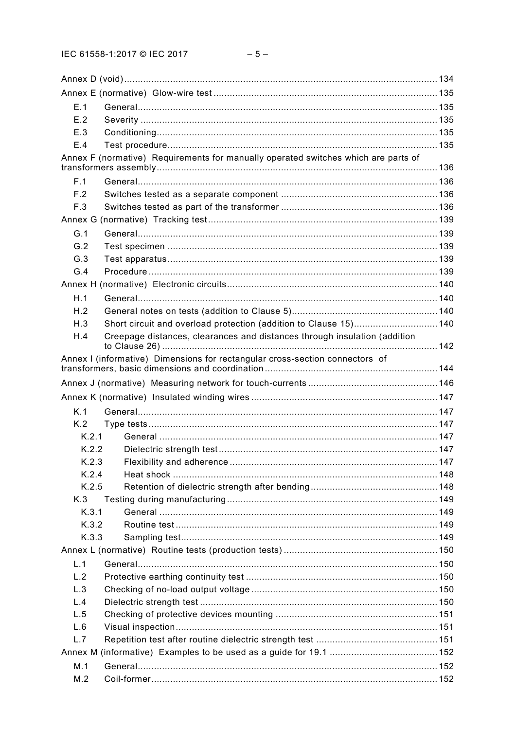| E.1   |                                                                                    |  |
|-------|------------------------------------------------------------------------------------|--|
| E.2   |                                                                                    |  |
| E.3   |                                                                                    |  |
| E.4   |                                                                                    |  |
|       | Annex F (normative) Requirements for manually operated switches which are parts of |  |
|       |                                                                                    |  |
| F.1   |                                                                                    |  |
| F.2   |                                                                                    |  |
| F.3   |                                                                                    |  |
|       |                                                                                    |  |
| G.1   |                                                                                    |  |
| G.2   |                                                                                    |  |
| G.3   |                                                                                    |  |
| G.4   |                                                                                    |  |
|       |                                                                                    |  |
| H.1   |                                                                                    |  |
| H.2   |                                                                                    |  |
| H.3   | Short circuit and overload protection (addition to Clause 15) 140                  |  |
| H.4   | Creepage distances, clearances and distances through insulation (addition          |  |
|       | Annex I (informative) Dimensions for rectangular cross-section connectors of       |  |
|       |                                                                                    |  |
|       |                                                                                    |  |
|       |                                                                                    |  |
| K.1   |                                                                                    |  |
| K.2   |                                                                                    |  |
| K.2.1 |                                                                                    |  |
| K.2.2 |                                                                                    |  |
| K.2.3 |                                                                                    |  |
| K.2.4 |                                                                                    |  |
| K.2.5 |                                                                                    |  |
| K.3   |                                                                                    |  |
| K.3.1 |                                                                                    |  |
| K.3.2 |                                                                                    |  |
| K.3.3 |                                                                                    |  |
|       |                                                                                    |  |
| L.1   |                                                                                    |  |
| L.2   |                                                                                    |  |
| L.3   |                                                                                    |  |
| L.4   |                                                                                    |  |
| L.5   |                                                                                    |  |
| L.6   |                                                                                    |  |
| L.7   |                                                                                    |  |
|       |                                                                                    |  |
| M.1   |                                                                                    |  |
| M.2   |                                                                                    |  |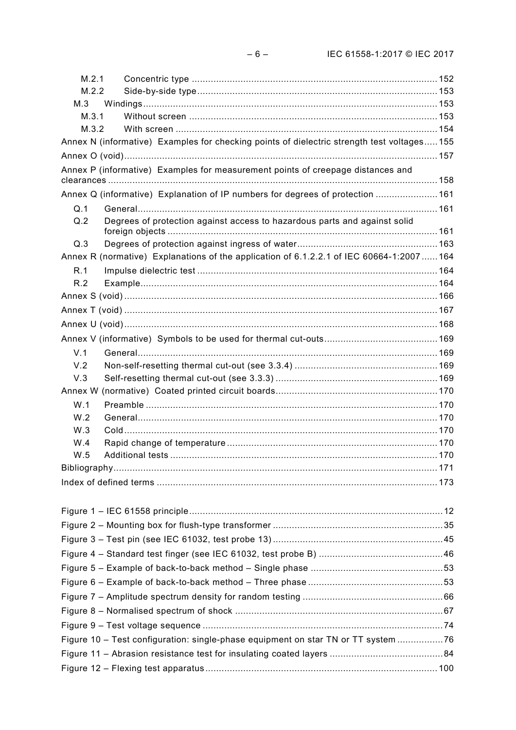| M.2.1 |                                                                                             |  |
|-------|---------------------------------------------------------------------------------------------|--|
| M.2.2 |                                                                                             |  |
| M.3   |                                                                                             |  |
| M.3.1 |                                                                                             |  |
| M.3.2 |                                                                                             |  |
|       | Annex N (informative) Examples for checking points of dielectric strength test voltages 155 |  |
|       |                                                                                             |  |
|       | Annex P (informative) Examples for measurement points of creepage distances and             |  |
|       | Annex Q (informative) Explanation of IP numbers for degrees of protection  161              |  |
| Q.1   |                                                                                             |  |
| Q.2   | Degrees of protection against access to hazardous parts and against solid                   |  |
| Q.3   |                                                                                             |  |
|       | Annex R (normative) Explanations of the application of 6.1.2.2.1 of IEC 60664-1:2007  164   |  |
| R.1   |                                                                                             |  |
| R.2   |                                                                                             |  |
|       |                                                                                             |  |
|       |                                                                                             |  |
|       |                                                                                             |  |
|       |                                                                                             |  |
| V.1   |                                                                                             |  |
| V.2   |                                                                                             |  |
| V.3   |                                                                                             |  |
|       |                                                                                             |  |
| W.1   |                                                                                             |  |
| W.2   |                                                                                             |  |
| W.3   |                                                                                             |  |
| W.4   |                                                                                             |  |
| W.5   |                                                                                             |  |
|       |                                                                                             |  |
|       |                                                                                             |  |
|       |                                                                                             |  |
|       |                                                                                             |  |
|       |                                                                                             |  |
|       |                                                                                             |  |
|       |                                                                                             |  |
|       |                                                                                             |  |
|       |                                                                                             |  |
|       |                                                                                             |  |
|       |                                                                                             |  |
|       | Figure 10 - Test configuration: single-phase equipment on star TN or TT system 76           |  |
|       |                                                                                             |  |
|       |                                                                                             |  |
|       |                                                                                             |  |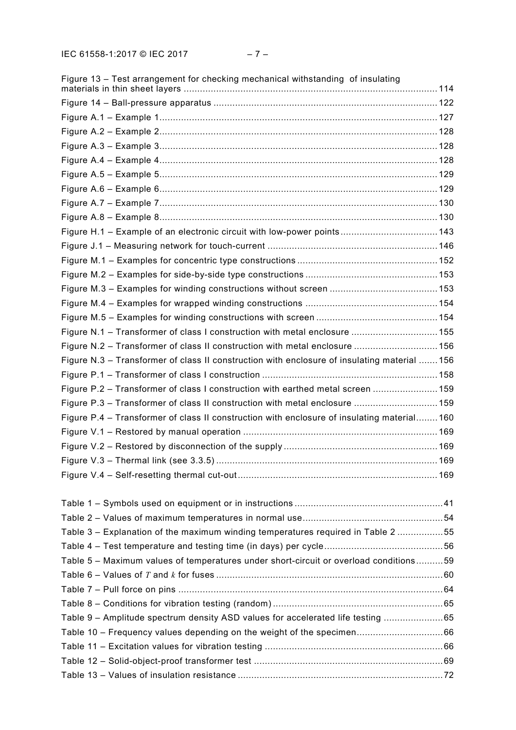| Figure 13 – Test arrangement for checking mechanical withstanding of insulating              |     |
|----------------------------------------------------------------------------------------------|-----|
|                                                                                              |     |
|                                                                                              |     |
|                                                                                              |     |
|                                                                                              |     |
|                                                                                              |     |
|                                                                                              |     |
|                                                                                              |     |
|                                                                                              |     |
|                                                                                              |     |
| Figure H.1 - Example of an electronic circuit with low-power points 143                      |     |
|                                                                                              |     |
|                                                                                              |     |
|                                                                                              |     |
|                                                                                              |     |
|                                                                                              |     |
|                                                                                              |     |
| Figure N.1 - Transformer of class I construction with metal enclosure  155                   |     |
| Figure N.2 - Transformer of class II construction with metal enclosure  156                  |     |
| Figure N.3 – Transformer of class II construction with enclosure of insulating material  156 |     |
|                                                                                              |     |
| Figure P.2 - Transformer of class I construction with earthed metal screen  159              |     |
| Figure P.3 - Transformer of class II construction with metal enclosure  159                  |     |
| Figure P.4 – Transformer of class II construction with enclosure of insulating material160   |     |
|                                                                                              |     |
|                                                                                              |     |
|                                                                                              | 169 |
|                                                                                              |     |
|                                                                                              |     |
|                                                                                              |     |
|                                                                                              |     |
| Table 3 - Explanation of the maximum winding temperatures required in Table 2 55             |     |
|                                                                                              |     |
| Table 5 - Maximum values of temperatures under short-circuit or overload conditions59        |     |
|                                                                                              |     |
|                                                                                              |     |
|                                                                                              |     |
| Table 9 - Amplitude spectrum density ASD values for accelerated life testing 65              |     |
| Table 10 - Frequency values depending on the weight of the specimen66                        |     |
|                                                                                              |     |
|                                                                                              |     |
|                                                                                              |     |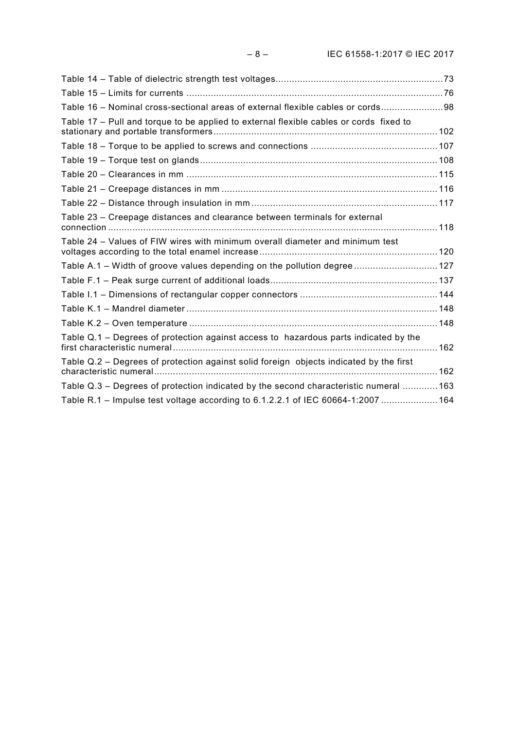| Table 16 - Nominal cross-sectional areas of external flexible cables or cords98        |  |
|----------------------------------------------------------------------------------------|--|
| Table 17 – Pull and torque to be applied to external flexible cables or cords fixed to |  |
|                                                                                        |  |
|                                                                                        |  |
|                                                                                        |  |
|                                                                                        |  |
|                                                                                        |  |
| Table 23 - Creepage distances and clearance between terminals for external             |  |
| Table 24 - Values of FIW wires with minimum overall diameter and minimum test          |  |
| Table A.1 - Width of groove values depending on the pollution degree 127               |  |
|                                                                                        |  |
|                                                                                        |  |
|                                                                                        |  |
|                                                                                        |  |
| Table Q.1 - Degrees of protection against access to hazardous parts indicated by the   |  |
| Table Q.2 - Degrees of protection against solid foreign objects indicated by the first |  |
| Table Q.3 - Degrees of protection indicated by the second characteristic numeral  163  |  |
| Table R.1 - Impulse test voltage according to 6.1.2.2.1 of IEC 60664-1:2007  164       |  |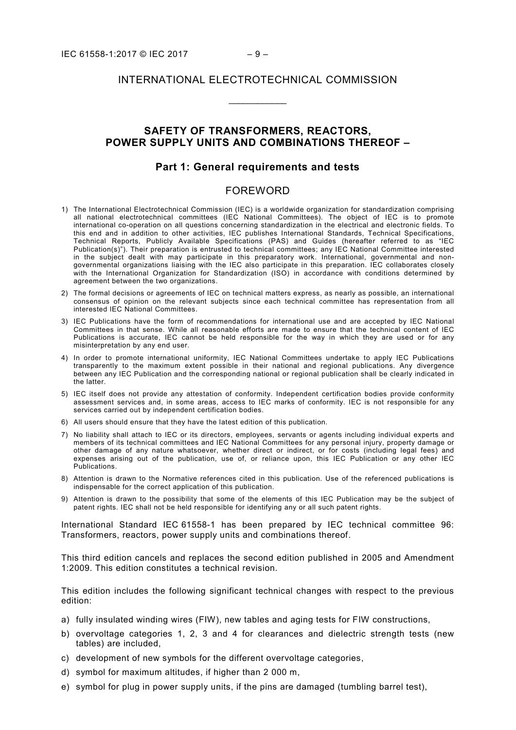## INTERNATIONAL ELECTROTECHNICAL COMMISSION

\_\_\_\_\_\_\_\_\_\_\_\_

## **SAFETY OF TRANSFORMERS, REACTORS, POWER SUPPLY UNITS AND COMBINATIONS THEREOF –**

## **Part 1: General requirements and tests**

# FOREWORD

- <span id="page-8-0"></span>1) The International Electrotechnical Commission (IEC) is a worldwide organization for standardization comprising all national electrotechnical committees (IEC National Committees). The object of IEC is to promote international co-operation on all questions concerning standardization in the electrical and electronic fields. To this end and in addition to other activities, IEC publishes International Standards, Technical Specifications, Technical Reports, Publicly Available Specifications (PAS) and Guides (hereafter referred to as "IEC Publication(s)"). Their preparation is entrusted to technical committees; any IEC National Committee interested in the subject dealt with may participate in this preparatory work. International, governmental and nongovernmental organizations liaising with the IEC also participate in this preparation. IEC collaborates closely with the International Organization for Standardization (ISO) in accordance with conditions determined by agreement between the two organizations.
- 2) The formal decisions or agreements of IEC on technical matters express, as nearly as possible, an international consensus of opinion on the relevant subjects since each technical committee has representation from all interested IEC National Committees.
- 3) IEC Publications have the form of recommendations for international use and are accepted by IEC National Committees in that sense. While all reasonable efforts are made to ensure that the technical content of IEC Publications is accurate, IEC cannot be held responsible for the way in which they are used or for any misinterpretation by any end user.
- 4) In order to promote international uniformity, IEC National Committees undertake to apply IEC Publications transparently to the maximum extent possible in their national and regional publications. Any divergence between any IEC Publication and the corresponding national or regional publication shall be clearly indicated in the latter.
- 5) IEC itself does not provide any attestation of conformity. Independent certification bodies provide conformity assessment services and, in some areas, access to IEC marks of conformity. IEC is not responsible for any services carried out by independent certification bodies.
- 6) All users should ensure that they have the latest edition of this publication.
- 7) No liability shall attach to IEC or its directors, employees, servants or agents including individual experts and members of its technical committees and IEC National Committees for any personal injury, property damage or other damage of any nature whatsoever, whether direct or indirect, or for costs (including legal fees) and expenses arising out of the publication, use of, or reliance upon, this IEC Publication or any other IEC Publications.
- 8) Attention is drawn to the Normative references cited in this publication. Use of the referenced publications is indispensable for the correct application of this publication.
- 9) Attention is drawn to the possibility that some of the elements of this IEC Publication may be the subject of patent rights. IEC shall not be held responsible for identifying any or all such patent rights.

International Standard IEC 61558-1 has been prepared by IEC technical committee 96: Transformers, reactors, power supply units and combinations thereof.

This third edition cancels and replaces the second edition published in 2005 and Amendment 1:2009. This edition constitutes a technical revision.

This edition includes the following significant technical changes with respect to the previous edition:

- a) fully insulated winding wires (FIW), new tables and aging tests for FIW constructions,
- b) overvoltage categories 1, 2, 3 and 4 for clearances and dielectric strength tests (new tables) are included,
- c) development of new symbols for the different overvoltage categories,
- d) symbol for maximum altitudes, if higher than 2 000 m,
- e) symbol for plug in power supply units, if the pins are damaged (tumbling barrel test),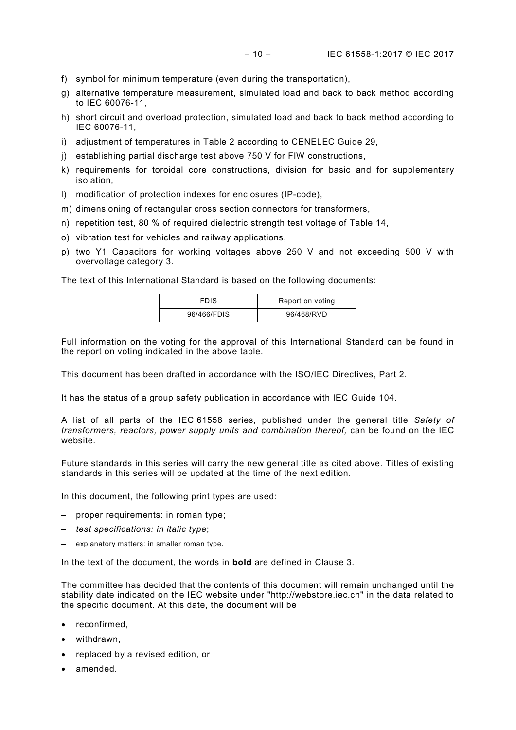- f) symbol for minimum temperature (even during the transportation),
- g) alternative temperature measurement, simulated load and back to back method according to IEC 60076-11,
- h) short circuit and overload protection, simulated load and back to back method according to IEC 60076-11,
- i) adjustment of temperatures in Table 2 according to CENELEC Guide 29,
- j) establishing partial discharge test above 750 V for FIW constructions,
- k) requirements for toroidal core constructions, division for basic and for supplementary isolation,
- l) modification of protection indexes for enclosures (IP-code),
- m) dimensioning of rectangular cross section connectors for transformers,
- n) repetition test, 80 % of required dielectric strength test voltage of Table 14,
- o) vibration test for vehicles and railway applications,
- p) two Y1 Capacitors for working voltages above 250 V and not exceeding 500 V with overvoltage category 3.

The text of this International Standard is based on the following documents:

| <b>FDIS</b> | Report on voting |
|-------------|------------------|
| 96/466/FDIS | 96/468/RVD       |

Full information on the voting for the approval of this International Standard can be found in the report on voting indicated in the above table.

This document has been drafted in accordance with the ISO/IEC Directives, Part 2.

It has the status of a group safety publication in accordance with IEC Guide 104.

A list of all parts of the IEC 61558 series, published under the general title *Safety of transformers, reactors, power supply units and combination thereof,* can be found on the IEC website.

Future standards in this series will carry the new general title as cited above. Titles of existing standards in this series will be updated at the time of the next edition.

In this document, the following print types are used:

- proper requirements: in roman type;
- *test specifications: in italic type*;
- explanatory matters: in smaller roman type.

In the text of the document, the words in **bold** are defined in Clause 3.

The committee has decided that the contents of this document will remain unchanged until the stability date indicated on the IEC website under "http://webstore.iec.ch" in the data related to the specific document. At this date, the document will be

- reconfirmed,
- withdrawn,
- replaced by a revised edition, or
- <span id="page-9-0"></span>amended.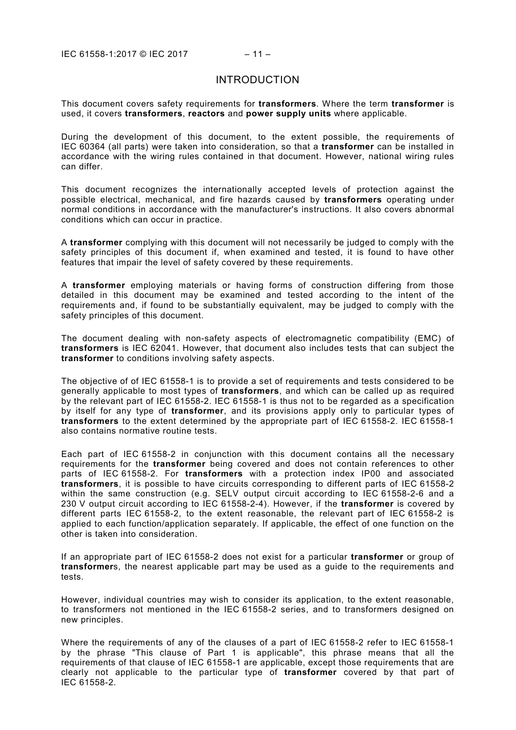## INTRODUCTION

This document covers safety requirements for **transformers**. Where the term **transformer** is used, it covers **transformers**, **reactors** and **power supply units** where applicable.

During the development of this document, to the extent possible, the requirements of IEC 60364 (all parts) were taken into consideration, so that a **transformer** can be installed in accordance with the wiring rules contained in that document. However, national wiring rules can differ.

This document recognizes the internationally accepted levels of protection against the possible electrical, mechanical, and fire hazards caused by **transformers** operating under normal conditions in accordance with the manufacturer's instructions. It also covers abnormal conditions which can occur in practice.

A **transformer** complying with this document will not necessarily be judged to comply with the safety principles of this document if, when examined and tested, it is found to have other features that impair the level of safety covered by these requirements.

A **transformer** employing materials or having forms of construction differing from those detailed in this document may be examined and tested according to the intent of the requirements and, if found to be substantially equivalent, may be judged to comply with the safety principles of this document.

The document dealing with non-safety aspects of electromagnetic compatibility (EMC) of **transformers** is IEC 62041. However, that document also includes tests that can subject the **transformer** to conditions involving safety aspects.

The objective of of IEC 61558-1 is to provide a set of requirements and tests considered to be generally applicable to most types of **transformers**, and which can be called up as required by the relevant part of IEC 61558-2. IEC 61558-1 is thus not to be regarded as a specification by itself for any type of **transformer**, and its provisions apply only to particular types of **transformers** to the extent determined by the appropriate part of IEC 61558-2. IEC 61558-1 also contains normative routine tests.

Each part of IEC 61558-2 in conjunction with this document contains all the necessary requirements for the **transformer** being covered and does not contain references to other parts of IEC 61558-2. For **transformers** with a protection index IP00 and associated **transformers**, it is possible to have circuits corresponding to different parts of IEC 61558-2 within the same construction (e.g. SELV output circuit according to IEC 61558-2-6 and a 230 V output circuit according to IEC 61558-2-4). However, if the **transformer** is covered by different parts IEC 61558-2, to the extent reasonable, the relevant part of IEC 61558-2 is applied to each function/application separately. If applicable, the effect of one function on the other is taken into consideration.

If an appropriate part of IEC 61558-2 does not exist for a particular **transformer** or group of **transformer**s, the nearest applicable part may be used as a guide to the requirements and tests.

However, individual countries may wish to consider its application, to the extent reasonable, to transformers not mentioned in the IEC 61558-2 series, and to transformers designed on new principles.

Where the requirements of any of the clauses of a part of IEC 61558-2 refer to IEC 61558-1 by the phrase "This clause of Part 1 is applicable", this phrase means that all the requirements of that clause of IEC 61558-1 are applicable, except those requirements that are clearly not applicable to the particular type of **transformer** covered by that part of IEC 61558-2.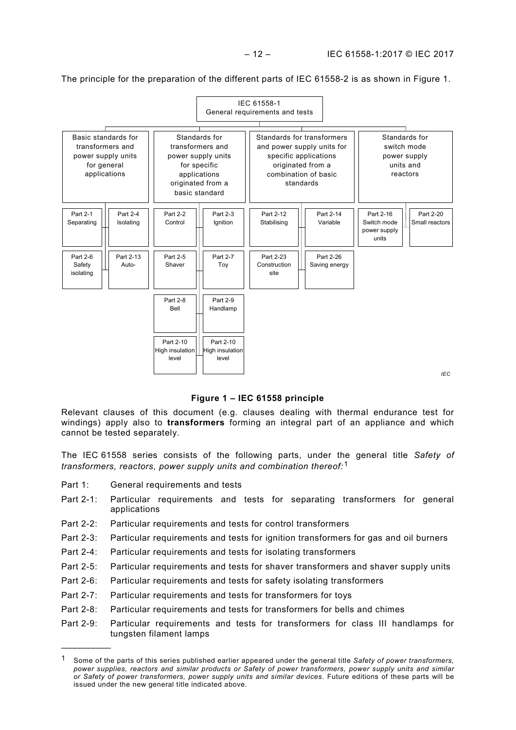The principle for the preparation of the different parts of IEC 61558-2 is as shown in [Figure 1.](#page-11-0)



**Figure 1 – IEC 61558 principle**

<span id="page-11-0"></span>Relevant clauses of this document (e.g. clauses dealing with thermal endurance test for windings) apply also to **transformers** forming an integral part of an appliance and which cannot be tested separately.

The IEC 61558 series consists of the following parts, under the general title *Safety of transformers, reactors, power supply units and combination thereof:*[1](#page-11-1)

Part 1: General requirements and tests

\_\_\_\_\_\_\_\_\_\_\_\_\_

- Part 2-1: Particular requirements and tests for separating transformers for general applications
- Part 2-2: Particular requirements and tests for control transformers
- Part 2-3: Particular requirements and tests for ignition transformers for gas and oil burners
- Part 2-4: Particular requirements and tests for isolating transformers
- Part 2-5: Particular requirements and tests for shaver transformers and shaver supply units
- Part 2-6: Particular requirements and tests for safety isolating transformers
- Part 2-7: Particular requirements and tests for transformers for toys
- Part 2-8: Particular requirements and tests for transformers for bells and chimes
- Part 2-9: Particular requirements and tests for transformers for class III handlamps for tungsten filament lamps

<span id="page-11-1"></span><sup>1</sup> Some of the parts of this series published earlier appeared under the general title *Safety of power transformers, power supplies, reactors and similar products or Safety of power transformers, power supply units and similar or Safety of power transformers, power supply units and similar devices*. Future editions of these parts will be issued under the new general title indicated above.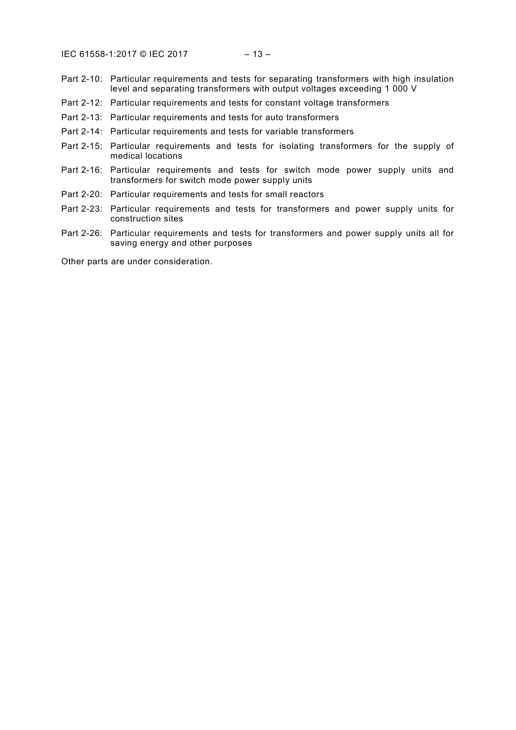- Part 2-10: Particular requirements and tests for separating transformers with high insulation level and separating transformers with output voltages exceeding 1 000 V
- Part 2-12: Particular requirements and tests for constant voltage transformers
- Part 2-13: Particular requirements and tests for auto transformers
- Part 2-14: Particular requirements and tests for variable transformers
- Part 2-15: Particular requirements and tests for isolating transformers for the supply of medical locations
- Part 2-16: Particular requirements and tests for switch mode power supply units and transformers for switch mode power supply units
- Part 2-20: Particular requirements and tests for small reactors
- Part 2-23: Particular requirements and tests for transformers and power supply units for construction sites
- Part 2-26: Particular requirements and tests for transformers and power supply units all for saving energy and other purposes

Other parts are under consideration.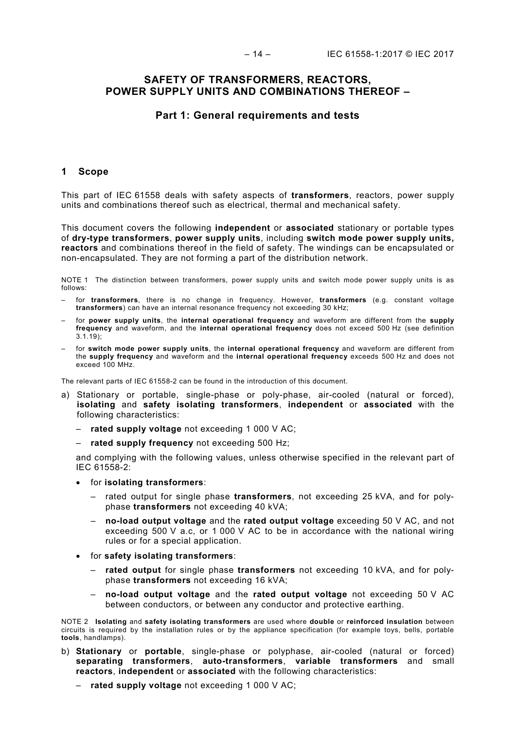## **SAFETY OF TRANSFORMERS, REACTORS, POWER SUPPLY UNITS AND COMBINATIONS THEREOF –**

## **Part 1: General requirements and tests**

## <span id="page-13-0"></span>**1 Scope**

This part of IEC 61558 deals with safety aspects of **transformers**, reactors, power supply units and combinations thereof such as electrical, thermal and mechanical safety.

This document covers the following **independent** or **associated** stationary or portable types of **dry-type transformers**, **power supply units**, including **switch mode power supply units, reactors** and combinations thereof in the field of safety. The windings can be encapsulated or non-encapsulated. They are not forming a part of the distribution network.

NOTE 1 The distinction between transformers, power supply units and switch mode power supply units is as follows:

- for **transformers**, there is no change in frequency. However, **transformers** (e.g. constant voltage **transformers**) can have an internal resonance frequency not exceeding 30 kHz;
- for **power supply units**, the **internal operational frequency** and waveform are different from the **supply frequency** and waveform, and the **internal operational frequency** does not exceed 500 Hz (see definition 3.1.19);
- for **switch mode power supply units**, the **internal operational frequency** and waveform are different from the **supply frequency** and waveform and the **internal operational frequency** exceeds 500 Hz and does not exceed 100 MHz.

The relevant parts of IEC 61558-2 can be found in the introduction of this document.

- a) Stationary or portable, single-phase or poly-phase, air-cooled (natural or forced), **isolating** and **safety isolating transformers**, **independent** or **associated** with the following characteristics:
	- **rated supply voltage** not exceeding 1 000 V AC;
	- **rated supply frequency** not exceeding 500 Hz;

and complying with the following values, unless otherwise specified in the relevant part of IEC 61558-2:

- for **isolating transformers**:
	- rated output for single phase **transformers**, not exceeding 25 kVA, and for polyphase **transformers** not exceeding 40 kVA;
	- **no-load output voltage** and the **rated output voltage** exceeding 50 V AC, and not exceeding 500 V a.c, or 1 000 V AC to be in accordance with the national wiring rules or for a special application.
- for **safety isolating transformers**:
	- **rated output** for single phase **transformers** not exceeding 10 kVA, and for polyphase **transformers** not exceeding 16 kVA;
	- **no-load output voltage** and the **rated output voltage** not exceeding 50 V AC between conductors, or between any conductor and protective earthing.

NOTE 2 **Isolating** and **safety isolating transformers** are used where **double** or **reinforced insulation** between circuits is required by the installation rules or by the appliance specification (for example toys, bells, portable **tools**, handlamps).

- b) **Stationary** or **portable**, single-phase or polyphase, air-cooled (natural or forced) **separating transformers**, **auto-transformers**, **variable transformers** and small **reactors**, **independent** or **associated** with the following characteristics:
	- **rated supply voltage** not exceeding 1 000 V AC;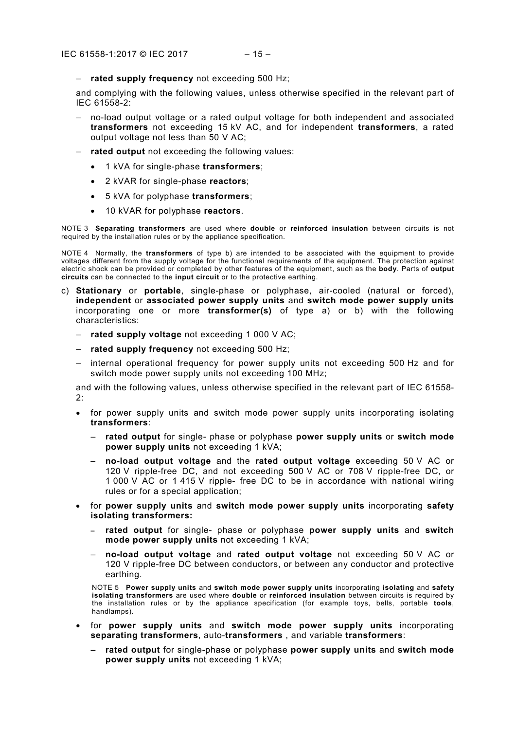– **rated supply frequency** not exceeding 500 Hz;

and complying with the following values, unless otherwise specified in the relevant part of IEC 61558-2:

- no-load output voltage or a rated output voltage for both independent and associated **transformers** not exceeding 15 kV AC, and for independent **transformers**, a rated output voltage not less than 50 V AC;
- **rated output** not exceeding the following values:
	- 1 kVA for single-phase **transformers**;
	- 2 kVAR for single-phase **reactors**;
	- 5 kVA for polyphase **transformers**;
	- 10 kVAR for polyphase **reactors**.

NOTE 3 **Separating transformers** are used where **double** or **reinforced insulation** between circuits is not required by the installation rules or by the appliance specification.

NOTE 4 Normally, the **transformers** of type b) are intended to be associated with the equipment to provide voltages different from the supply voltage for the functional requirements of the equipment. The protection against electric shock can be provided or completed by other features of the equipment, such as the **body**. Parts of **output circuits** can be connected to the **input circuit** or to the protective earthing.

- c) **Stationary** or **portable**, single-phase or polyphase, air-cooled (natural or forced), **independent** or **associated power supply units** and **switch mode power supply units** incorporating one or more **transformer(s)** of type a) or b) with the following characteristics:
	- **rated supply voltage** not exceeding 1 000 V AC;
	- **rated supply frequency** not exceeding 500 Hz;
	- internal operational frequency for power supply units not exceeding 500 Hz and for switch mode power supply units not exceeding 100 MHz;

and with the following values, unless otherwise specified in the relevant part of IEC 61558-  $2.2$ 

- for power supply units and switch mode power supply units incorporating isolating **transformers**:
	- **rated output** for single- phase or polyphase **power supply units** or **switch mode power supply units** not exceeding 1 kVA;
	- **no-load output voltage** and the **rated output voltage** exceeding 50 V AC or 120 V ripple-free DC, and not exceeding 500 V AC or 708 V ripple-free DC, or 1 000 V AC or 1 415 V ripple- free DC to be in accordance with national wiring rules or for a special application;
- for **power supply units** and **switch mode power supply units** incorporating **safety isolating transformers:**
	- **rated output** for single- phase or polyphase **power supply units** and **switch mode power supply units** not exceeding 1 kVA;
	- **no-load output voltage** and **rated output voltage** not exceeding 50 V AC or 120 V ripple-free DC between conductors, or between any conductor and protective earthing.

NOTE 5 **Power supply units** and **switch mode power supply units** incorporating **isolating** and **safety isolating transformers** are used where **double** or **reinforced insulation** between circuits is required by the installation rules or by the appliance specification (for example toys, bells, portable **tools**, handlamps).

- for **power supply units** and **switch mode power supply units** incorporating **separating transformers**, auto-**transformers** , and variable **transformers**:
	- **rated output** for single-phase or polyphase **power supply units** and **switch mode power supply units** not exceeding 1 kVA;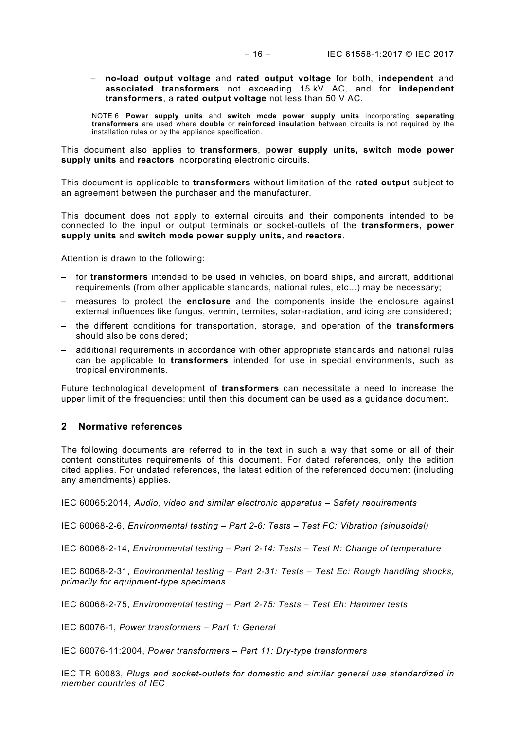– **no-load output voltage** and **rated output voltage** for both, **independent** and **associated transformers** not exceeding 15 kV AC, and for **independent transformers**, a **rated output voltage** not less than 50 V AC.

NOTE 6 **Power supply units** and **switch mode power supply units** incorporating **separating transformers** are used where **double** or **reinforced insulation** between circuits is not required by the installation rules or by the appliance specification.

This document also applies to **transformers**, **power supply units, switch mode power supply units** and **reactors** incorporating electronic circuits.

This document is applicable to **transformers** without limitation of the **rated output** subject to an agreement between the purchaser and the manufacturer.

This document does not apply to external circuits and their components intended to be connected to the input or output terminals or socket-outlets of the **transformers, power supply units** and **switch mode power supply units,** and **reactors**.

Attention is drawn to the following:

- for **transformers** intended to be used in vehicles, on board ships, and aircraft, additional requirements (from other applicable standards, national rules, etc...) may be necessary;
- measures to protect the **enclosure** and the components inside the enclosure against external influences like fungus, vermin, termites, solar-radiation, and icing are considered;
- the different conditions for transportation, storage, and operation of the **transformers** should also be considered;
- additional requirements in accordance with other appropriate standards and national rules can be applicable to **transformers** intended for use in special environments, such as tropical environments.

Future technological development of **transformers** can necessitate a need to increase the upper limit of the frequencies; until then this document can be used as a guidance document.

## <span id="page-15-0"></span>**2 Normative references**

The following documents are referred to in the text in such a way that some or all of their content constitutes requirements of this document. For dated references, only the edition cited applies. For undated references, the latest edition of the referenced document (including any amendments) applies.

IEC 60065:2014, *Audio, video and similar electronic apparatus – Safety requirements*

IEC 60068-2-6, *Environmental testing – Part 2-6: Tests – Test FC: Vibration (sinusoidal)*

IEC 60068-2-14, *Environmental testing – Part 2-14: Tests – Test N: Change of temperature*

IEC 60068-2-31, *Environmental testing – Part 2-31: Tests – Test Ec: Rough handling shocks, primarily for equipment-type specimens*

IEC 60068-2-75, *Environmental testing – Part 2-75: Tests – Test Eh: Hammer tests*

IEC 60076-1, *Power transformers – Part 1: General*

IEC 60076-11:2004, *Power transformers – Part 11: Dry-type transformers*

IEC TR 60083, *Plugs and socket-outlets for domestic and similar general use standardized in member countries of IEC*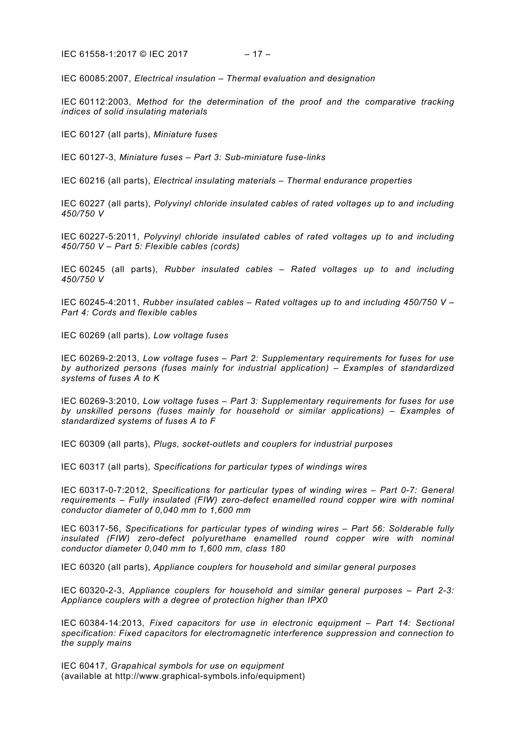IEC 61558-1:2017 © IEC 2017 – 17 –

IEC 60085:2007, *Electrical insulation – Thermal evaluation and designation*

IEC 60112:2003, *Method for the determination of the proof and the comparative tracking indices of solid insulating materials*

IEC 60127 (all parts), *Miniature fuses* 

IEC 60127-3, *Miniature fuses – Part 3: Sub-miniature fuse-links*

IEC 60216 (all parts), *Electrical insulating materials – Thermal endurance properties*

IEC 60227 (all parts), *Polyvinyl chloride insulated cables of rated voltages up to and including 450/750 V* 

IEC 60227-5:2011, *Polyvinyl chloride insulated cables of rated voltages up to and including 450/750 V – Part 5: Flexible cables (cords)*

IEC 60245 (all parts), *Rubber insulated cables – Rated voltages up to and including 450/750 V* 

IEC 60245-4:2011, *Rubber insulated cables – Rated voltages up to and including 450/750 V – Part 4: Cords and flexible cables*

IEC 60269 (all parts), *Low voltage fuses*

IEC 60269-2:2013, *Low voltage fuses – Part 2: Supplementary requirements for fuses for use by authorized persons (fuses mainly for industrial application) – Examples of standardized systems of fuses A to K*

IEC 60269-3:2010, *Low voltage fuses – Part 3: Supplementary requirements for fuses for use by unskilled persons (fuses mainly for household or similar applications) – Examples of standardized systems of fuses A to F*

IEC 60309 (all parts), *Plugs, socket-outlets and couplers for industrial purposes*

IEC 60317 (all parts), *Specifications for particular types of windings wires*

IEC 60317-0-7:2012, *Specifications for particular types of winding wires – Part 0-7: General requirements – Fully insulated (FIW) zero-defect enamelled round copper wire with nominal conductor diameter of 0,040 mm to 1,600 mm*

IEC 60317-56, *Specifications for particular types of winding wires – Part 56: Solderable fully insulated (FIW) zero-defect polyurethane enamelled round copper wire with nominal conductor diameter 0,040 mm to 1,600 mm, class 180*

IEC 60320 (all parts), *Appliance couplers for household and similar general purposes*

IEC 60320-2-3, *Appliance couplers for household and similar general purposes – Part 2-3: Appliance couplers with a degree of protection higher than IPX0*

IEC 60384-14:2013, *Fixed capacitors for use in electronic equipment – Part 14: Sectional specification: Fixed capacitors for electromagnetic interference suppression and connection to the supply mains*

IEC 60417*, Grapahical symbols for use on equipment*  (available at http://www.graphical-symbols.info/equipment)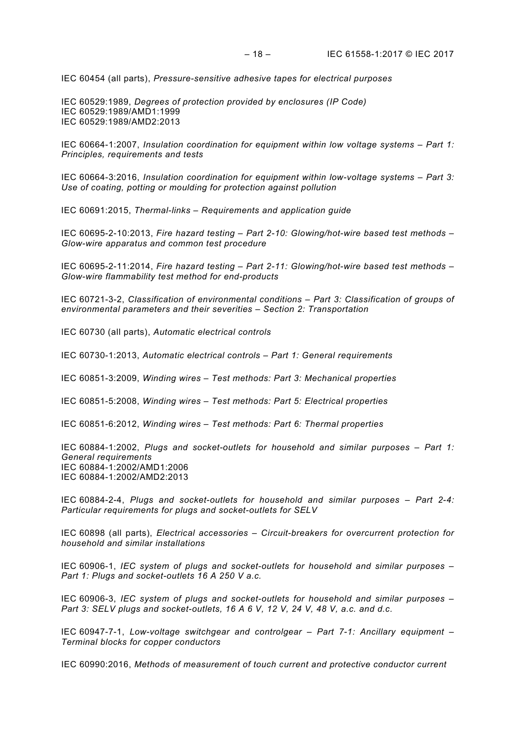IEC 60454 (all parts), *Pressure-sensitive adhesive tapes for electrical purposes*

IEC 60529:1989, *Degrees of protection provided by enclosures (IP Code)* IEC 60529:1989/AMD1:1999 IEC 60529:1989/AMD2:2013

IEC 60664-1:2007, *Insulation coordination for equipment within low voltage systems – Part 1: Principles, requirements and tests*

IEC 60664-3:2016, *Insulation coordination for equipment within low-voltage systems – Part 3: Use of coating, potting or moulding for protection against pollution*

IEC 60691:2015, *Thermal-links – Requirements and application guide*

IEC 60695-2-10:2013, *Fire hazard testing – Part 2-10: Glowing/hot-wire based test methods – Glow-wire apparatus and common test procedure*

IEC 60695-2-11:2014, *Fire hazard testing – Part 2-11: Glowing/hot-wire based test methods – Glow-wire flammability test method for end-products*

IEC 60721-3-2, *Classification of environmental conditions – Part 3: Classification of groups of environmental parameters and their severities – Section 2: Transportation*

IEC 60730 (all parts), *Automatic electrical controls*

IEC 60730-1:2013, *Automatic electrical controls – Part 1: General requirements*

IEC 60851-3:2009, *Winding wires – Test methods: Part 3: Mechanical properties*

IEC 60851-5:2008, *Winding wires – Test methods: Part 5: Electrical properties*

IEC 60851-6:2012, *Winding wires – Test methods: Part 6: Thermal properties*

IEC 60884-1:2002, *Plugs and socket-outlets for household and similar purposes – Part 1: General requirements* IEC 60884-1:2002/AMD1:2006 IEC 60884-1:2002/AMD2:2013

IEC 60884-2-4, *Plugs and socket-outlets for household and similar purposes – Part 2-4: Particular requirements for plugs and socket-outlets for SELV*

IEC 60898 (all parts), *Electrical accessories – Circuit-breakers for overcurrent protection for household and similar installations*

IEC 60906-1, *IEC system of plugs and socket-outlets for household and similar purposes – Part 1: Plugs and socket-outlets 16 A 250 V a.c.*

IEC 60906-3, *IEC system of plugs and socket-outlets for household and similar purposes – Part 3: SELV plugs and socket-outlets, 16 A 6 V, 12 V, 24 V, 48 V, a.c. and d.c.*

IEC 60947-7-1, *Low-voltage switchgear and controlgear – Part 7-1: Ancillary equipment – Terminal blocks for copper conductors*

IEC 60990:2016, *Methods of measurement of touch current and protective conductor current*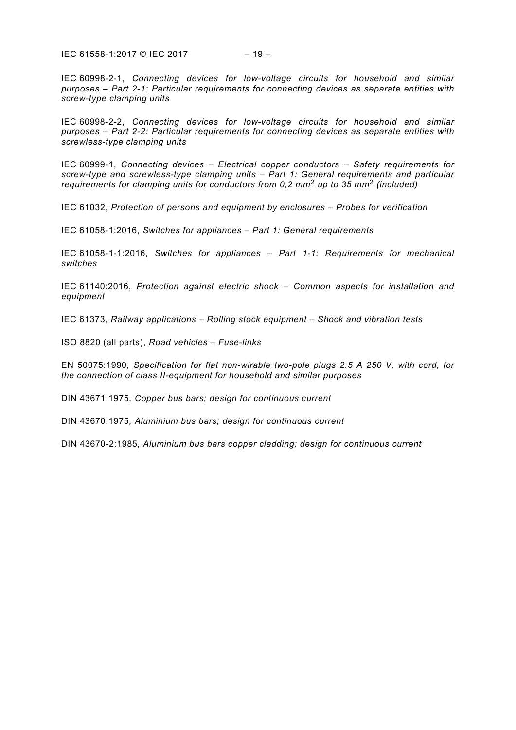IEC 61558-1:2017 © IEC 2017 – 19 –

IEC 60998-2-1, *Connecting devices for low-voltage circuits for household and similar purposes – Part 2-1: Particular requirements for connecting devices as separate entities with screw-type clamping units*

IEC 60998-2-2, *Connecting devices for low-voltage circuits for household and similar purposes – Part 2-2: Particular requirements for connecting devices as separate entities with screwless-type clamping units*

IEC 60999-1, *Connecting devices – Electrical copper conductors – Safety requirements for screw-type and screwless-type clamping units – Part 1: General requirements and particular requirements for clamping units for conductors from 0,2 mm*<sup>2</sup> *up to 35 mm*<sup>2</sup> *(included)*

IEC 61032, *Protection of persons and equipment by enclosures – Probes for verification*

IEC 61058-1:2016, *Switches for appliances – Part 1: General requirements*

IEC 61058-1-1:2016, *Switches for appliances – Part 1-1: Requirements for mechanical switches*

IEC 61140:2016, *Protection against electric shock – Common aspects for installation and equipment*

IEC 61373, *Railway applications – Rolling stock equipment – Shock and vibration tests*

ISO 8820 (all parts), *Road vehicles – Fuse-links*

EN 50075:1990*, Specification for flat non-wirable two-pole plugs 2.5 A 250 V, with cord, for the connection of class II-equipment for household and similar purposes*

DIN 43671:1975*, Copper bus bars; design for continuous current*

DIN 43670:1975*, Aluminium bus bars; design for continuous current*

<span id="page-18-0"></span>DIN 43670-2:1985*, Aluminium bus bars copper cladding; design for continuous current*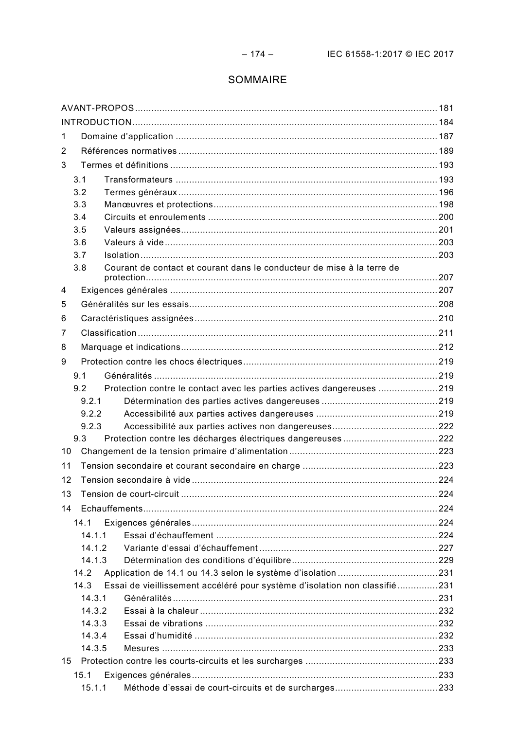# SOMMAIRE

| 1                 |                                                                            |  |  |
|-------------------|----------------------------------------------------------------------------|--|--|
| 2                 |                                                                            |  |  |
| 3                 |                                                                            |  |  |
| 3.1               |                                                                            |  |  |
| 3.2               |                                                                            |  |  |
| 3.3               |                                                                            |  |  |
| 3.4               |                                                                            |  |  |
| 3.5               |                                                                            |  |  |
| 3.6               |                                                                            |  |  |
| 3.7               |                                                                            |  |  |
| 3.8               | Courant de contact et courant dans le conducteur de mise à la terre de     |  |  |
| 4                 |                                                                            |  |  |
| 5                 |                                                                            |  |  |
| 6                 |                                                                            |  |  |
| 7                 |                                                                            |  |  |
| 8                 |                                                                            |  |  |
| 9                 |                                                                            |  |  |
| 9.1               |                                                                            |  |  |
| 9.2               | Protection contre le contact avec les parties actives dangereuses 219      |  |  |
| 9.2.1             |                                                                            |  |  |
| 9.2.2             |                                                                            |  |  |
| 9.2.3             |                                                                            |  |  |
| 9.3               |                                                                            |  |  |
| 10                |                                                                            |  |  |
| 11                |                                                                            |  |  |
| $12 \overline{ }$ |                                                                            |  |  |
| 13 <sup>°</sup>   |                                                                            |  |  |
| 14                |                                                                            |  |  |
| 14.1              |                                                                            |  |  |
| 14.1.1            |                                                                            |  |  |
| 14.1.2            |                                                                            |  |  |
| 14.1.3            |                                                                            |  |  |
| 14.2              |                                                                            |  |  |
| 14.3              | Essai de vieillissement accéléré pour système d'isolation non classifié231 |  |  |
| 14.3.1            |                                                                            |  |  |
| 14.3.2            |                                                                            |  |  |
| 14.3.3            |                                                                            |  |  |
| 14.3.4            |                                                                            |  |  |
| 14.3.5            |                                                                            |  |  |
| 15                |                                                                            |  |  |
| 15.1              |                                                                            |  |  |
| 15.1.1            |                                                                            |  |  |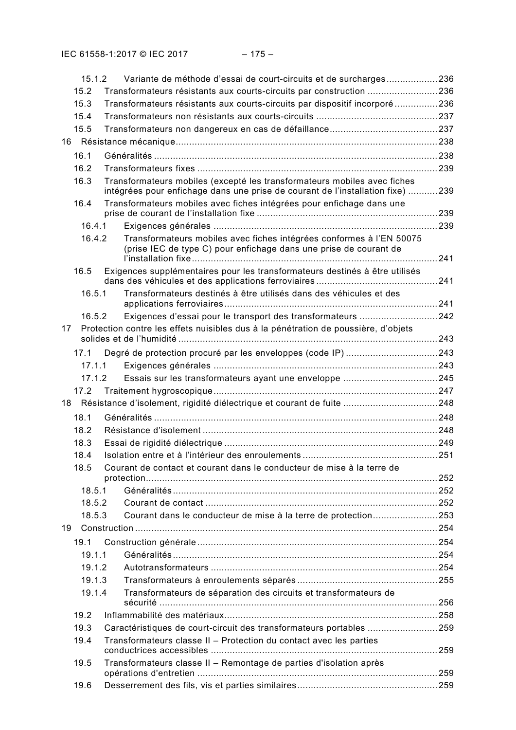|     | 15.1.2 | Variante de méthode d'essai de court-circuits et de surcharges236                                                                                          |  |
|-----|--------|------------------------------------------------------------------------------------------------------------------------------------------------------------|--|
|     | 15.2   | Transformateurs résistants aux courts-circuits par construction 236                                                                                        |  |
|     | 15.3   | Transformateurs résistants aux courts-circuits par dispositif incorporé 236                                                                                |  |
|     | 15.4   |                                                                                                                                                            |  |
|     | 15.5   |                                                                                                                                                            |  |
| 16. |        |                                                                                                                                                            |  |
|     | 16.1   |                                                                                                                                                            |  |
|     | 16.2   |                                                                                                                                                            |  |
|     | 16.3   | Transformateurs mobiles (excepté les transformateurs mobiles avec fiches<br>intégrées pour enfichage dans une prise de courant de l'installation fixe) 239 |  |
|     | 16.4   | Transformateurs mobiles avec fiches intégrées pour enfichage dans une                                                                                      |  |
|     | 16.4.1 |                                                                                                                                                            |  |
|     | 16.4.2 | Transformateurs mobiles avec fiches intégrées conformes à l'EN 50075<br>(prise IEC de type C) pour enfichage dans une prise de courant de                  |  |
|     | 16.5   | Exigences supplémentaires pour les transformateurs destinés à être utilisés                                                                                |  |
|     | 16.5.1 | Transformateurs destinés à être utilisés dans des véhicules et des                                                                                         |  |
|     | 16.5.2 | Exigences d'essai pour le transport des transformateurs 242                                                                                                |  |
| 17  |        | Protection contre les effets nuisibles dus à la pénétration de poussière, d'objets                                                                         |  |
|     | 17.1   |                                                                                                                                                            |  |
|     | 17.1.1 |                                                                                                                                                            |  |
|     | 17.1.2 |                                                                                                                                                            |  |
|     | 17.2   |                                                                                                                                                            |  |
| 18  |        | Résistance d'isolement, rigidité diélectrique et courant de fuite  248                                                                                     |  |
|     | 18.1   |                                                                                                                                                            |  |
|     | 18.2   |                                                                                                                                                            |  |
|     | 18.3   |                                                                                                                                                            |  |
|     | 18.4   |                                                                                                                                                            |  |
|     | 18.5   | Courant de contact et courant dans le conducteur de mise à la terre de                                                                                     |  |
|     | 18.5.1 |                                                                                                                                                            |  |
|     | 18.5.2 |                                                                                                                                                            |  |
|     | 18.5.3 | Courant dans le conducteur de mise à la terre de protection253                                                                                             |  |
| 19  |        |                                                                                                                                                            |  |
|     | 19.1   |                                                                                                                                                            |  |
|     | 19.1.1 |                                                                                                                                                            |  |
|     | 19.1.2 |                                                                                                                                                            |  |
|     | 19.1.3 |                                                                                                                                                            |  |
|     | 19.1.4 | Transformateurs de séparation des circuits et transformateurs de                                                                                           |  |
|     | 19.2   |                                                                                                                                                            |  |
|     | 19.3   | Caractéristiques de court-circuit des transformateurs portables 259                                                                                        |  |
|     | 19.4   | Transformateurs classe II - Protection du contact avec les parties                                                                                         |  |
|     | 19.5   | Transformateurs classe II - Remontage de parties d'isolation après                                                                                         |  |
|     | 19.6   |                                                                                                                                                            |  |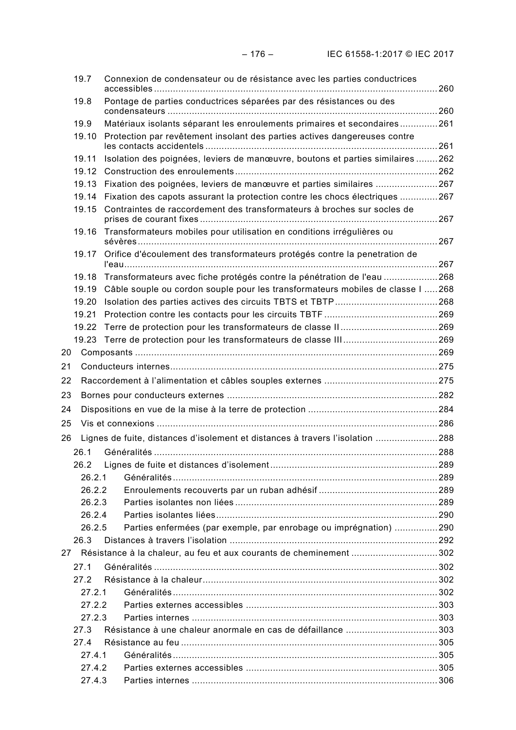|    | 19.7             | Connexion de condensateur ou de résistance avec les parties conductrices<br>accessibles | 260 |
|----|------------------|-----------------------------------------------------------------------------------------|-----|
|    | 19.8             | Pontage de parties conductrices séparées par des résistances ou des<br>. 260            |     |
|    | 19.9             | Matériaux isolants séparant les enroulements primaires et secondaires261                |     |
|    | 19.10            | Protection par revêtement insolant des parties actives dangereuses contre               | 261 |
|    | 19.11            | Isolation des poignées, leviers de manœuvre, boutons et parties similaires 262          |     |
|    | 19.12            |                                                                                         |     |
|    | 19.13            | Fixation des poignées, leviers de manœuvre et parties similaires 267                    |     |
|    | 19.14            | Fixation des capots assurant la protection contre les chocs électriques 267             |     |
|    | 19.15            | Contraintes de raccordement des transformateurs à broches sur socles de                 | 267 |
|    | 19.16            | Transformateurs mobiles pour utilisation en conditions irrégulières ou                  | 267 |
|    | 19.17            | Orifice d'écoulement des transformateurs protégés contre la penetration de              |     |
|    | 19.18            | Transformateurs avec fiche protégés contre la pénétration de l'eau 268                  |     |
|    | 19.19            | Câble souple ou cordon souple pour les transformateurs mobiles de classe I  268         |     |
|    | 19.20            |                                                                                         |     |
|    | 19.21            |                                                                                         |     |
|    | 19.22            |                                                                                         |     |
|    | 19.23            |                                                                                         |     |
| 20 |                  |                                                                                         |     |
| 21 |                  |                                                                                         |     |
| 22 |                  |                                                                                         |     |
| 23 |                  |                                                                                         |     |
| 24 |                  |                                                                                         |     |
| 25 |                  |                                                                                         |     |
|    |                  |                                                                                         |     |
| 26 |                  | Lignes de fuite, distances d'isolement et distances à travers l'isolation 288           |     |
|    | 26.1             |                                                                                         |     |
|    | 26.2             |                                                                                         |     |
|    | 26.2.1           |                                                                                         |     |
|    | 26.2.2<br>26.2.3 |                                                                                         |     |
|    | 26.2.4           |                                                                                         |     |
|    | 26.2.5           | Parties enfermées (par exemple, par enrobage ou imprégnation) 290                       |     |
|    | 26.3             |                                                                                         |     |
|    |                  | 27  Résistance à la chaleur, au feu et aux courants de cheminement ……………………………302       |     |
|    | 27.1             |                                                                                         |     |
|    | 27.2             |                                                                                         |     |
|    | 27.2.1           |                                                                                         |     |
|    | 27.2.2           |                                                                                         |     |
|    | 27.2.3           |                                                                                         |     |
|    | 27.3             |                                                                                         |     |
|    | 27.4             |                                                                                         |     |
|    | 27.4.1           |                                                                                         |     |
|    | 27.4.2           |                                                                                         |     |
|    | 27.4.3           |                                                                                         |     |
|    |                  |                                                                                         |     |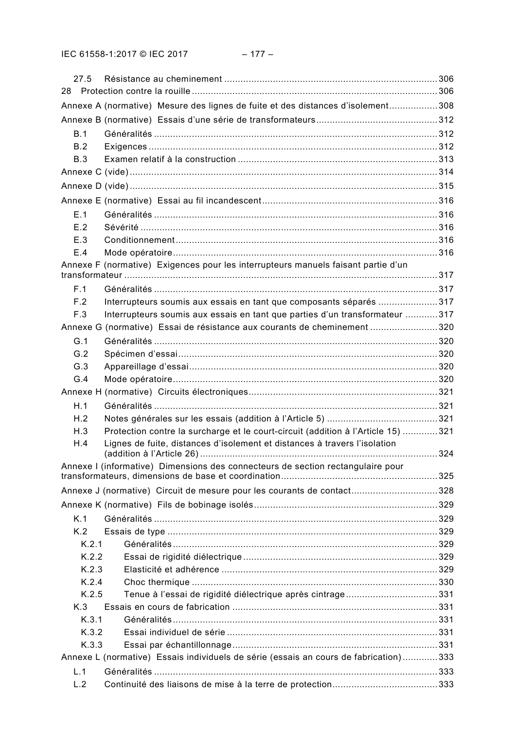| 27.5                                                                                 |                                                                                   |  |
|--------------------------------------------------------------------------------------|-----------------------------------------------------------------------------------|--|
|                                                                                      |                                                                                   |  |
|                                                                                      | Annexe A (normative) Mesure des lignes de fuite et des distances d'isolement308   |  |
|                                                                                      |                                                                                   |  |
| B.1                                                                                  |                                                                                   |  |
| B.2                                                                                  |                                                                                   |  |
| B.3                                                                                  |                                                                                   |  |
|                                                                                      |                                                                                   |  |
|                                                                                      |                                                                                   |  |
|                                                                                      |                                                                                   |  |
| E.1                                                                                  |                                                                                   |  |
| E.2                                                                                  |                                                                                   |  |
| E.3                                                                                  |                                                                                   |  |
| E.4                                                                                  |                                                                                   |  |
|                                                                                      | Annexe F (normative) Exigences pour les interrupteurs manuels faisant partie d'un |  |
| F.1                                                                                  |                                                                                   |  |
| F.2                                                                                  | Interrupteurs soumis aux essais en tant que composants séparés 317                |  |
| F.3                                                                                  | Interrupteurs soumis aux essais en tant que parties d'un transformateur 317       |  |
|                                                                                      | Annexe G (normative) Essai de résistance aux courants de cheminement 320          |  |
| G.1                                                                                  |                                                                                   |  |
| G.2                                                                                  |                                                                                   |  |
| G.3                                                                                  |                                                                                   |  |
| G.4                                                                                  |                                                                                   |  |
|                                                                                      |                                                                                   |  |
| H.1                                                                                  |                                                                                   |  |
| H.2                                                                                  |                                                                                   |  |
| H.3                                                                                  | Protection contre la surcharge et le court-circuit (addition à l'Article 15) 321  |  |
| H.4                                                                                  | Lignes de fuite, distances d'isolement et distances à travers l'isolation         |  |
|                                                                                      | Annexe I (informative) Dimensions des connecteurs de section rectangulaire pour   |  |
|                                                                                      |                                                                                   |  |
|                                                                                      | Annexe J (normative) Circuit de mesure pour les courants de contact328            |  |
|                                                                                      |                                                                                   |  |
| K.1                                                                                  |                                                                                   |  |
| K.2                                                                                  |                                                                                   |  |
| K.2.1                                                                                |                                                                                   |  |
| K.2.2                                                                                |                                                                                   |  |
| K.2.3                                                                                |                                                                                   |  |
| K.2.4<br>K.2.5                                                                       |                                                                                   |  |
| K.3                                                                                  | Tenue à l'essai de rigidité diélectrique après cintrage331                        |  |
| K.3.1                                                                                |                                                                                   |  |
| K.3.2                                                                                |                                                                                   |  |
| K.3.3                                                                                |                                                                                   |  |
| Annexe L (normative) Essais individuels de série (essais an cours de fabrication)333 |                                                                                   |  |
| L.1                                                                                  |                                                                                   |  |
| L.2                                                                                  |                                                                                   |  |
|                                                                                      |                                                                                   |  |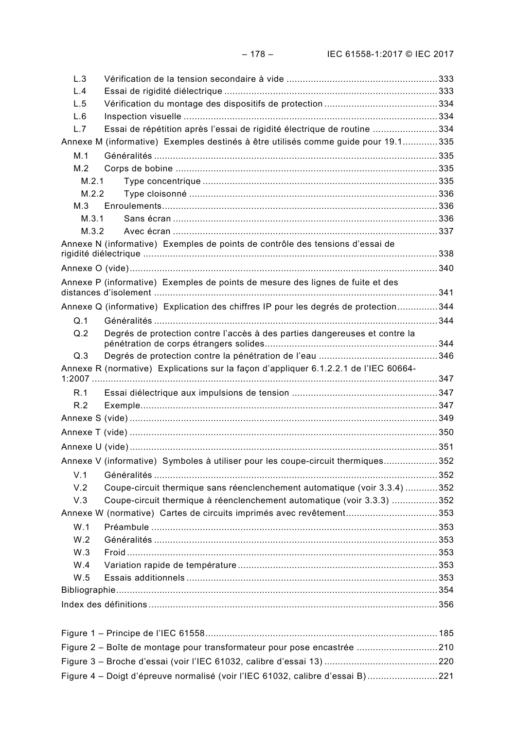| L.3        |                                                                                                                                               |      |
|------------|-----------------------------------------------------------------------------------------------------------------------------------------------|------|
| L.4        |                                                                                                                                               |      |
| L.5        |                                                                                                                                               |      |
| L.6        |                                                                                                                                               |      |
| L.7        | Essai de répétition après l'essai de rigidité électrique de routine 334                                                                       |      |
|            | Annexe M (informative) Exemples destinés à être utilisés comme guide pour 19.1335                                                             |      |
| M.1        |                                                                                                                                               |      |
| M.2        |                                                                                                                                               |      |
| M.2.1      |                                                                                                                                               |      |
| M.2.2      |                                                                                                                                               |      |
| M.3        |                                                                                                                                               |      |
| M.3.1      |                                                                                                                                               |      |
| M.3.2      |                                                                                                                                               |      |
|            | Annexe N (informative) Exemples de points de contrôle des tensions d'essai de                                                                 |      |
|            |                                                                                                                                               |      |
|            | Annexe P (informative) Exemples de points de mesure des lignes de fuite et des                                                                | 341  |
|            | Annexe Q (informative) Explication des chiffres IP pour les degrés de protection                                                              | .344 |
|            |                                                                                                                                               |      |
| Q.1        |                                                                                                                                               | 344  |
| Q.2        | Degrés de protection contre l'accès à des parties dangereuses et contre la                                                                    |      |
| Q.3        |                                                                                                                                               |      |
|            | Annexe R (normative) Explications sur la façon d'appliquer 6.1.2.2.1 de l'IEC 60664-                                                          |      |
| R.1        |                                                                                                                                               |      |
| R.2        |                                                                                                                                               |      |
|            |                                                                                                                                               |      |
|            |                                                                                                                                               |      |
|            |                                                                                                                                               |      |
|            | Annexe V (informative) Symboles à utiliser pour les coupe-circuit thermiques352                                                               |      |
|            |                                                                                                                                               |      |
| V.1<br>V.2 | Coupe-circuit thermique sans réenclenchement automatique (voir 3.3.4) 352                                                                     |      |
| V.3        |                                                                                                                                               |      |
|            | Coupe-circuit thermique à réenclenchement automatique (voir 3.3.3) 352<br>Annexe W (normative) Cartes de circuits imprimés avec revêtement353 |      |
|            |                                                                                                                                               |      |
| W.1        |                                                                                                                                               |      |
| W.2        |                                                                                                                                               |      |
| W.3        |                                                                                                                                               |      |
| W.4        |                                                                                                                                               |      |
| W.5        |                                                                                                                                               |      |
|            |                                                                                                                                               |      |
|            |                                                                                                                                               |      |
|            |                                                                                                                                               |      |

| Figure 2 – Boîte de montage pour transformateur pour pose encastrée 210       |  |
|-------------------------------------------------------------------------------|--|
|                                                                               |  |
| Figure 4 – Doigt d'épreuve normalisé (voir l'IEC 61032, calibre d'essai B)221 |  |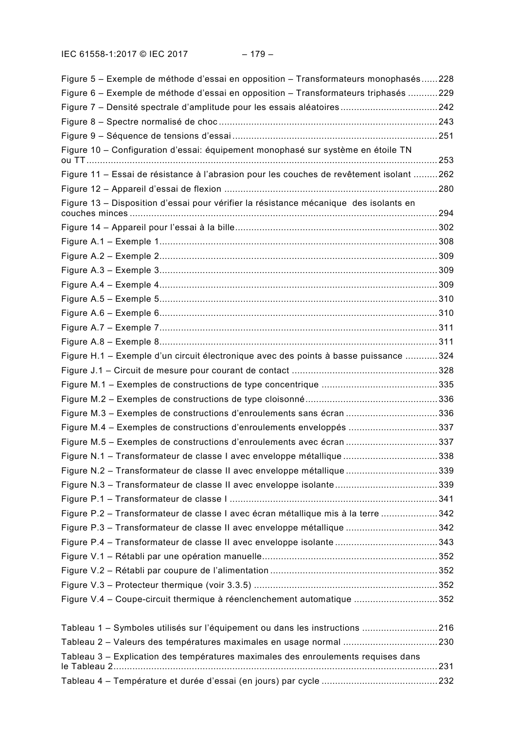| Figure 5 - Exemple de méthode d'essai en opposition - Transformateurs monophasés228      |  |
|------------------------------------------------------------------------------------------|--|
| Figure 6 - Exemple de méthode d'essai en opposition - Transformateurs triphasés 229      |  |
| Figure 7 – Densité spectrale d'amplitude pour les essais aléatoires242                   |  |
|                                                                                          |  |
|                                                                                          |  |
| Figure 10 - Configuration d'essai: équipement monophasé sur système en étoile TN         |  |
| Figure 11 - Essai de résistance à l'abrasion pour les couches de revêtement isolant  262 |  |
|                                                                                          |  |
| Figure 13 - Disposition d'essai pour vérifier la résistance mécanique des isolants en    |  |
|                                                                                          |  |
|                                                                                          |  |
|                                                                                          |  |
|                                                                                          |  |
|                                                                                          |  |
|                                                                                          |  |
|                                                                                          |  |
|                                                                                          |  |
|                                                                                          |  |
| Figure H.1 - Exemple d'un circuit électronique avec des points à basse puissance 324     |  |
|                                                                                          |  |
|                                                                                          |  |
|                                                                                          |  |
| Figure M.3 - Exemples de constructions d'enroulements sans écran 336                     |  |
| Figure M.4 - Exemples de constructions d'enroulements enveloppés 337                     |  |
| Figure M.5 - Exemples de constructions d'enroulements avec écran 337                     |  |
| Figure N.1 - Transformateur de classe I avec enveloppe métallique 338                    |  |
| Figure N.2 - Transformateur de classe II avec enveloppe métallique 339                   |  |
|                                                                                          |  |
|                                                                                          |  |
| Figure P.2 - Transformateur de classe I avec écran métallique mis à la terre 342         |  |
| Figure P.3 - Transformateur de classe II avec enveloppe métallique 342                   |  |
| Figure P.4 – Transformateur de classe II avec enveloppe isolante 343                     |  |
|                                                                                          |  |
|                                                                                          |  |
|                                                                                          |  |
| Figure V.4 - Coupe-circuit thermique à réenclenchement automatique 352                   |  |
|                                                                                          |  |

| Tableau 1 – Symboles utilisés sur l'équipement ou dans les instructions 216       |  |
|-----------------------------------------------------------------------------------|--|
|                                                                                   |  |
| Tableau 3 – Explication des températures maximales des enroulements requises dans |  |
|                                                                                   |  |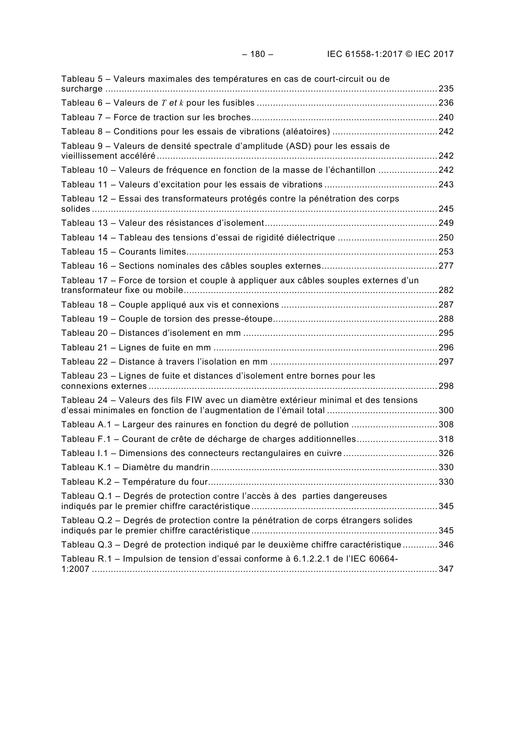| Tableau 5 – Valeurs maximales des températures en cas de court-circuit ou de          | 235 |
|---------------------------------------------------------------------------------------|-----|
|                                                                                       |     |
|                                                                                       |     |
|                                                                                       |     |
| Tableau 9 – Valeurs de densité spectrale d'amplitude (ASD) pour les essais de         | 242 |
| Tableau 10 - Valeurs de fréquence en fonction de la masse de l'échantillon 242        |     |
|                                                                                       | 243 |
| Tableau 12 - Essai des transformateurs protégés contre la pénétration des corps       | 245 |
|                                                                                       |     |
| Tableau 14 – Tableau des tensions d'essai de rigidité diélectrique 250                |     |
|                                                                                       |     |
|                                                                                       |     |
| Tableau 17 – Force de torsion et couple à appliquer aux câbles souples externes d'un  | 282 |
|                                                                                       |     |
|                                                                                       |     |
|                                                                                       |     |
|                                                                                       |     |
|                                                                                       | 297 |
| Tableau 23 - Lignes de fuite et distances d'isolement entre bornes pour les           | 298 |
| Tableau 24 – Valeurs des fils FIW avec un diamètre extérieur minimal et des tensions  |     |
| Tableau A.1 - Largeur des rainures en fonction du degré de pollution 308              |     |
| Tableau F.1 - Courant de crête de décharge de charges additionnelles318               |     |
| Tableau I.1 - Dimensions des connecteurs rectangulaires en cuivre326                  |     |
|                                                                                       |     |
|                                                                                       |     |
| Tableau Q.1 - Degrés de protection contre l'accès à des parties dangereuses           |     |
| Tableau Q.2 – Degrés de protection contre la pénétration de corps étrangers solides   |     |
| Tableau Q.3 - Degré de protection indiqué par le deuxième chiffre caractéristique 346 |     |
| Tableau R.1 – Impulsion de tension d'essai conforme à 6.1.2.2.1 de l'IEC 60664-       |     |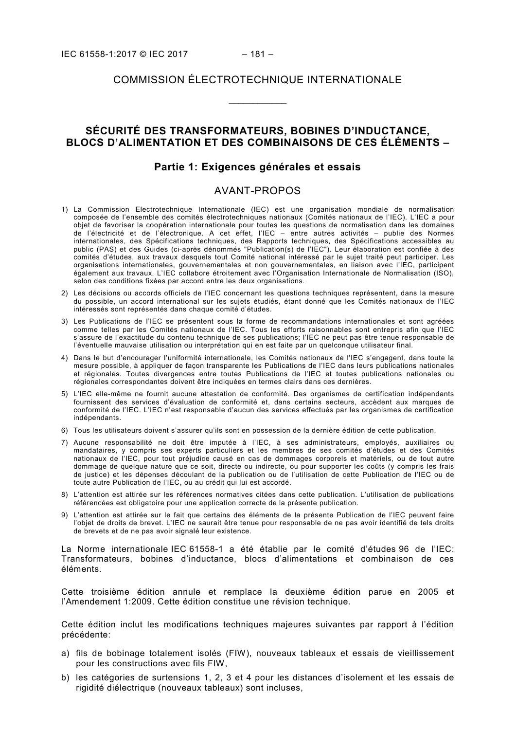## COMMISSION ÉLECTROTECHNIQUE INTERNATIONALE

\_\_\_\_\_\_\_\_\_\_\_\_

## **SÉCURITÉ DES TRANSFORMATEURS, BOBINES D'INDUCTANCE, BLOCS D'ALIMENTATION ET DES COMBINAISONS DE CES ÉLÉMENTS –**

## **Partie 1: Exigences générales et essais**

## AVANT-PROPOS

- <span id="page-26-0"></span>1) La Commission Electrotechnique Internationale (IEC) est une organisation mondiale de normalisation composée de l'ensemble des comités électrotechniques nationaux (Comités nationaux de l'IEC). L'IEC a pour objet de favoriser la coopération internationale pour toutes les questions de normalisation dans les domaines de l'électricité et de l'électronique. A cet effet, l'IEC – entre autres activités – publie des Normes internationales, des Spécifications techniques, des Rapports techniques, des Spécifications accessibles au public (PAS) et des Guides (ci-après dénommés "Publication(s) de l'IEC"). Leur élaboration est confiée à des comités d'études, aux travaux desquels tout Comité national intéressé par le sujet traité peut participer. Les organisations internationales, gouvernementales et non gouvernementales, en liaison avec l'IEC, participent également aux travaux. L'IEC collabore étroitement avec l'Organisation Internationale de Normalisation (ISO), selon des conditions fixées par accord entre les deux organisations.
- 2) Les décisions ou accords officiels de l'IEC concernant les questions techniques représentent, dans la mesure du possible, un accord international sur les sujets étudiés, étant donné que les Comités nationaux de l'IEC intéressés sont représentés dans chaque comité d'études.
- 3) Les Publications de l'IEC se présentent sous la forme de recommandations internationales et sont agréées comme telles par les Comités nationaux de l'IEC. Tous les efforts raisonnables sont entrepris afin que l'IEC s'assure de l'exactitude du contenu technique de ses publications; l'IEC ne peut pas être tenue responsable de l'éventuelle mauvaise utilisation ou interprétation qui en est faite par un quelconque utilisateur final.
- 4) Dans le but d'encourager l'uniformité internationale, les Comités nationaux de l'IEC s'engagent, dans toute la mesure possible, à appliquer de façon transparente les Publications de l'IEC dans leurs publications nationales et régionales. Toutes divergences entre toutes Publications de l'IEC et toutes publications nationales ou régionales correspondantes doivent être indiquées en termes clairs dans ces dernières.
- 5) L'IEC elle-même ne fournit aucune attestation de conformité. Des organismes de certification indépendants fournissent des services d'évaluation de conformité et, dans certains secteurs, accèdent aux marques de conformité de l'IEC. L'IEC n'est responsable d'aucun des services effectués par les organismes de certification indépendants.
- 6) Tous les utilisateurs doivent s'assurer qu'ils sont en possession de la dernière édition de cette publication.
- 7) Aucune responsabilité ne doit être imputée à l'IEC, à ses administrateurs, employés, auxiliaires ou mandataires, y compris ses experts particuliers et les membres de ses comités d'études et des Comités nationaux de l'IEC, pour tout préjudice causé en cas de dommages corporels et matériels, ou de tout autre dommage de quelque nature que ce soit, directe ou indirecte, ou pour supporter les coûts (y compris les frais de justice) et les dépenses découlant de la publication ou de l'utilisation de cette Publication de l'IEC ou de toute autre Publication de l'IEC, ou au crédit qui lui est accordé.
- 8) L'attention est attirée sur les références normatives citées dans cette publication. L'utilisation de publications référencées est obligatoire pour une application correcte de la présente publication.
- 9) L'attention est attirée sur le fait que certains des éléments de la présente Publication de l'IEC peuvent faire l'objet de droits de brevet. L'IEC ne saurait être tenue pour responsable de ne pas avoir identifié de tels droits de brevets et de ne pas avoir signalé leur existence.

La Norme internationale IEC 61558-1 a été établie par le comité d'études 96 de l'IEC: Transformateurs, bobines d'inductance, blocs d'alimentations et combinaison de ces éléments.

Cette troisième édition annule et remplace la deuxième édition parue en 2005 et l'Amendement 1:2009. Cette édition constitue une révision technique.

Cette édition inclut les modifications techniques majeures suivantes par rapport à l'édition précédente:

- a) fils de bobinage totalement isolés (FIW), nouveaux tableaux et essais de vieillissement pour les constructions avec fils FIW,
- b) les catégories de surtensions 1, 2, 3 et 4 pour les distances d'isolement et les essais de rigidité diélectrique (nouveaux tableaux) sont incluses,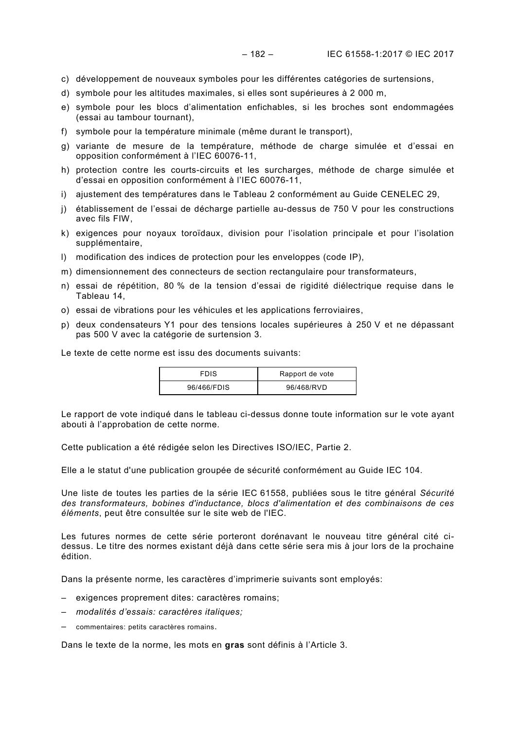- c) développement de nouveaux symboles pour les différentes catégories de surtensions,
- d) symbole pour les altitudes maximales, si elles sont supérieures à 2 000 m,
- e) symbole pour les blocs d'alimentation enfichables, si les broches sont endommagées (essai au tambour tournant),
- f) symbole pour la température minimale (même durant le transport),
- g) variante de mesure de la température, méthode de charge simulée et d'essai en opposition conformément à l'IEC 60076-11,
- h) protection contre les courts-circuits et les surcharges, méthode de charge simulée et d'essai en opposition conformément à l'IEC 60076-11,
- i) ajustement des températures dans le Tableau 2 conformément au Guide CENELEC 29,
- j) établissement de l'essai de décharge partielle au-dessus de 750 V pour les constructions avec fils FIW,
- k) exigences pour noyaux toroïdaux, division pour l'isolation principale et pour l'isolation supplémentaire,
- l) modification des indices de protection pour les enveloppes (code IP),
- m) dimensionnement des connecteurs de section rectangulaire pour transformateurs,
- n) essai de répétition, 80 % de la tension d'essai de rigidité diélectrique requise dans le Tableau 14,
- o) essai de vibrations pour les véhicules et les applications ferroviaires,
- p) deux condensateurs Y1 pour des tensions locales supérieures à 250 V et ne dépassant pas 500 V avec la catégorie de surtension 3.

Le texte de cette norme est issu des documents suivants:

| <b>FDIS</b> | Rapport de vote |
|-------------|-----------------|
| 96/466/FDIS | 96/468/RVD      |

Le rapport de vote indiqué dans le tableau ci-dessus donne toute information sur le vote ayant abouti à l'approbation de cette norme.

Cette publication a été rédigée selon les Directives ISO/IEC, Partie 2.

Elle a le statut d'une publication groupée de sécurité conformément au Guide IEC 104.

Une liste de toutes les parties de la série IEC 61558, publiées sous le titre général *Sécurité des transformateurs, bobines d'inductance, blocs d'alimentation et des combinaisons de ces éléments*, peut être consultée sur le site web de l'IEC.

Les futures normes de cette série porteront dorénavant le nouveau titre général cité cidessus. Le titre des normes existant déjà dans cette série sera mis à jour lors de la prochaine édition.

Dans la présente norme, les caractères d'imprimerie suivants sont employés:

- exigences proprement dites: caractères romains;
- *modalités d'essais: caractères italiques;*
- commentaires: petits caractères romains.

Dans le texte de la norme, les mots en **gras** sont définis à l'Article 3.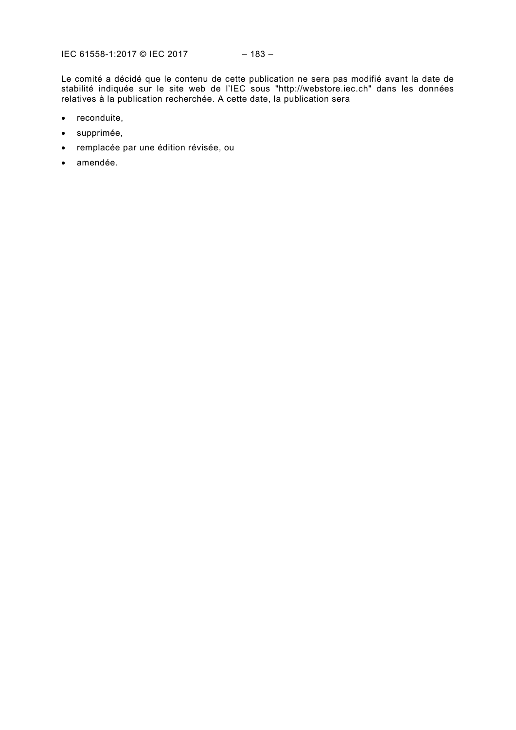Le comité a décidé que le contenu de cette publication ne sera pas modifié avant la date de stabilité indiquée sur le site web de l'IEC sous "http://webstore.iec.ch" dans les données relatives à la publication recherchée. A cette date, la publication sera

- reconduite,
- supprimée,
- remplacée par une édition révisée, ou
- amendée.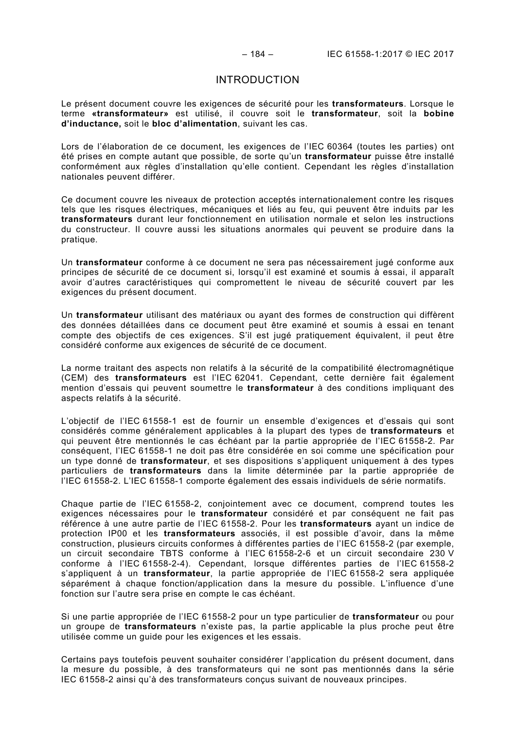## INTRODUCTION

<span id="page-29-0"></span>Le présent document couvre les exigences de sécurité pour les **transformateurs**. Lorsque le terme **«transformateur»** est utilisé, il couvre soit le **transformateur**, soit la **bobine d'inductance,** soit le **bloc d'alimentation**, suivant les cas.

Lors de l'élaboration de ce document, les exigences de l'IEC 60364 (toutes les parties) ont été prises en compte autant que possible, de sorte qu'un **transformateur** puisse être installé conformément aux règles d'installation qu'elle contient. Cependant les règles d'installation nationales peuvent différer.

Ce document couvre les niveaux de protection acceptés internationalement contre les risques tels que les risques électriques, mécaniques et liés au feu, qui peuvent être induits par les **transformateurs** durant leur fonctionnement en utilisation normale et selon les instructions du constructeur. Il couvre aussi les situations anormales qui peuvent se produire dans la pratique.

Un **transformateur** conforme à ce document ne sera pas nécessairement jugé conforme aux principes de sécurité de ce document si, lorsqu'il est examiné et soumis à essai, il apparaît avoir d'autres caractéristiques qui compromettent le niveau de sécurité couvert par les exigences du présent document.

Un **transformateur** utilisant des matériaux ou ayant des formes de construction qui diffèrent des données détaillées dans ce document peut être examiné et soumis à essai en tenant compte des objectifs de ces exigences. S'il est jugé pratiquement équivalent, il peut être considéré conforme aux exigences de sécurité de ce document.

La norme traitant des aspects non relatifs à la sécurité de la compatibilité électromagnétique (CEM) des **transformateurs** est l'IEC 62041*.* Cependant, cette dernière fait également mention d'essais qui peuvent soumettre le **transformateur** à des conditions impliquant des aspects relatifs à la sécurité.

L'objectif de l'IEC 61558-1 est de fournir un ensemble d'exigences et d'essais qui sont considérés comme généralement applicables à la plupart des types de **transformateurs** et qui peuvent être mentionnés le cas échéant par la partie appropriée de l'IEC 61558-2. Par conséquent, l'IEC 61558-1 ne doit pas être considérée en soi comme une spécification pour un type donné de **transformateur**, et ses dispositions s'appliquent uniquement à des types particuliers de **transformateurs** dans la limite déterminée par la partie appropriée de l'IEC 61558-2. L'IEC 61558-1 comporte également des essais individuels de série normatifs.

Chaque partie de l'IEC 61558-2, conjointement avec ce document, comprend toutes les exigences nécessaires pour le **transformateur** considéré et par conséquent ne fait pas référence à une autre partie de l'IEC 61558-2. Pour les **transformateurs** ayant un indice de protection IP00 et les **transformateurs** associés, il est possible d'avoir, dans la même construction, plusieurs circuits conformes à différentes parties de l'IEC 61558-2 (par exemple, un circuit secondaire TBTS conforme à l'IEC 61558-2-6 et un circuit secondaire 230 V conforme à l'IEC 61558-2-4). Cependant, lorsque différentes parties de l'IEC 61558-2 s'appliquent à un **transformateur**, la partie appropriée de l'IEC 61558-2 sera appliquée séparément à chaque fonction/application dans la mesure du possible. L'influence d'une fonction sur l'autre sera prise en compte le cas échéant.

Si une partie appropriée de l'IEC 61558-2 pour un type particulier de **transformateur** ou pour un groupe de **transformateurs** n'existe pas, la partie applicable la plus proche peut être utilisée comme un guide pour les exigences et les essais.

Certains pays toutefois peuvent souhaiter considérer l'application du présent document, dans la mesure du possible, à des transformateurs qui ne sont pas mentionnés dans la série IEC 61558-2 ainsi qu'à des transformateurs conçus suivant de nouveaux principes.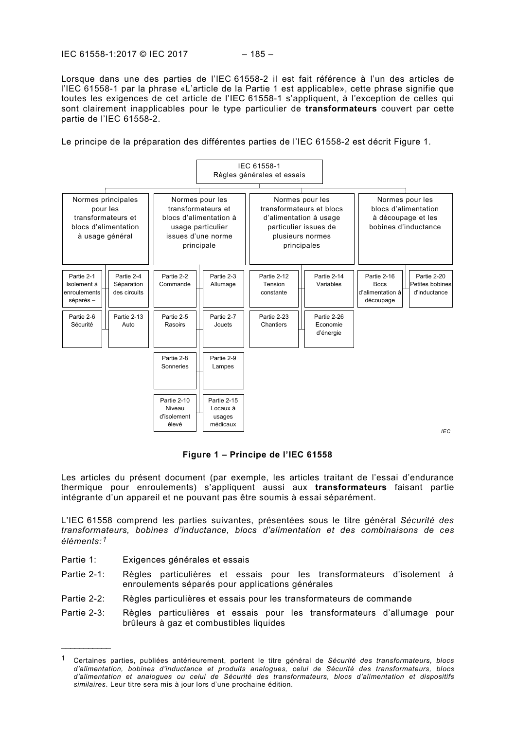#### IEC 61558-1:2017 © IEC 2017 – 185 –

Lorsque dans une des parties de l'IEC 61558-2 il est fait référence à l'un des articles de l'IEC 61558-1 par la phrase «L'article de la Partie 1 est applicable», cette phrase signifie que toutes les exigences de cet article de l'IEC 61558-1 s'appliquent, à l'exception de celles qui sont clairement inapplicables pour le type particulier de **transformateurs** couvert par cette partie de l'IEC 61558-2.

Le principe de la préparation des différentes parties de l'IEC 61558-2 est décrit [Figure 1.](#page-30-0)



**Figure 1 – Principe de l'IEC 61558**

<span id="page-30-0"></span>Les articles du présent document (par exemple, les articles traitant de l'essai d'endurance thermique pour enroulements) s'appliquent aussi aux **transformateurs** faisant partie intégrante d'un appareil et ne pouvant pas être soumis à essai séparément.

L'IEC 61558 comprend les parties suivantes, présentées sous le titre général *Sécurité des transformateurs, bobines d'inductance, blocs d'alimentation et des combinaisons de ces éléments: [1](#page-30-1)*

Partie 1: Exigences générales et essais

\_\_\_\_\_\_\_\_\_\_\_\_\_

- Partie 2-1: Règles particulières et essais pour les transformateurs d'isolement à enroulements séparés pour applications générales
- Partie 2-2: Règles particulières et essais pour les transformateurs de commande
- Partie 2-3: Règles particulières et essais pour les transformateurs d'allumage pour brûleurs à gaz et combustibles liquides

<span id="page-30-1"></span><sup>1</sup> Certaines parties, publiées antérieurement, portent le titre général de *Sécurité des transformateurs, blocs d'alimentation, bobines d'inductance et produits analogues, celui de Sécurité des transformateurs, blocs d'alimentation et analogues ou celui de Sécurité des transformateurs, blocs d'alimentation et dispositifs similaires*. Leur titre sera mis à jour lors d'une prochaine édition.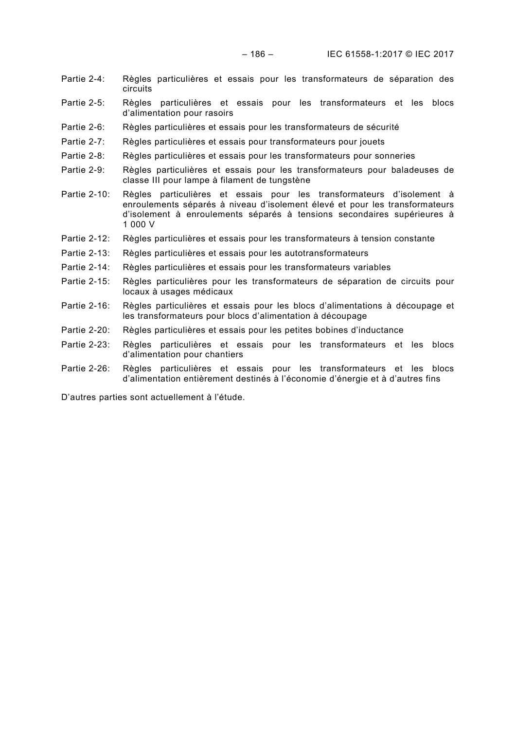- Partie 2-4: Règles particulières et essais pour les transformateurs de séparation des circuits
- Partie 2-5: Règles particulières et essais pour les transformateurs et les blocs d'alimentation pour rasoirs
- Partie 2-6: Règles particulières et essais pour les transformateurs de sécurité
- Partie 2-7: Règles particulières et essais pour transformateurs pour jouets
- Partie 2-8: Règles particulières et essais pour les transformateurs pour sonneries
- Partie 2-9: Règles particulières et essais pour les transformateurs pour baladeuses de classe III pour lampe à filament de tungstène
- Partie 2-10: Règles particulières et essais pour les transformateurs d'isolement à enroulements séparés à niveau d'isolement élevé et pour les transformateurs d'isolement à enroulements séparés à tensions secondaires supérieures à 1 000 V
- Partie 2-12: Règles particulières et essais pour les transformateurs à tension constante
- Partie 2-13: Règles particulières et essais pour les autotransformateurs
- Partie 2-14: Règles particulières et essais pour les transformateurs variables
- Partie 2-15: Règles particulières pour les transformateurs de séparation de circuits pour locaux à usages médicaux
- Partie 2-16: Règles particulières et essais pour les blocs d'alimentations à découpage et les transformateurs pour blocs d'alimentation à découpage
- Partie 2-20: Règles particulières et essais pour les petites bobines d'inductance
- Partie 2-23: Règles particulières et essais pour les transformateurs et les blocs d'alimentation pour chantiers
- Partie 2-26: Règles particulières et essais pour les transformateurs et les blocs d'alimentation entièrement destinés à l'économie d'énergie et à d'autres fins

D'autres parties sont actuellement à l'étude.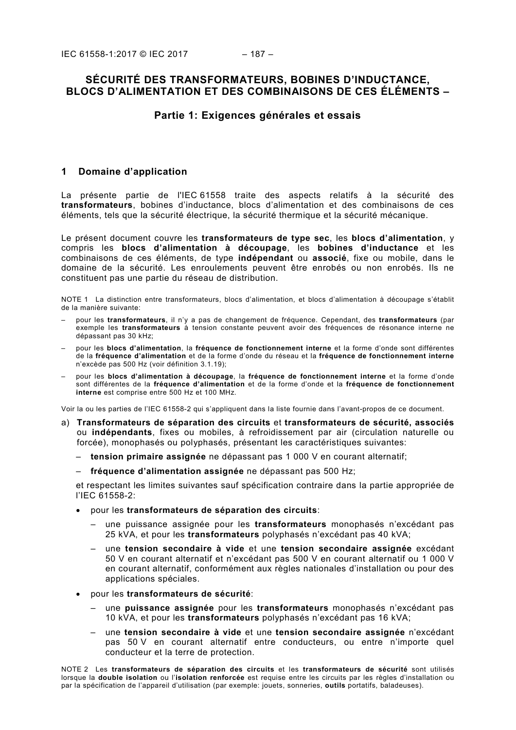# **SÉCURITÉ DES TRANSFORMATEURS, BOBINES D'INDUCTANCE, BLOCS D'ALIMENTATION ET DES COMBINAISONS DE CES ÉLÉMENTS –**

## **Partie 1: Exigences générales et essais**

## <span id="page-32-0"></span>**1 Domaine d'application**

La présente partie de l'IEC 61558 traite des aspects relatifs à la sécurité des **transformateurs**, bobines d'inductance, blocs d'alimentation et des combinaisons de ces éléments, tels que la sécurité électrique, la sécurité thermique et la sécurité mécanique.

Le présent document couvre les **transformateurs de type sec**, les **blocs d'alimentation**, y compris les **blocs d'alimentation à découpage**, les **bobines d'inductance** et les combinaisons de ces éléments, de type **indépendant** ou **associé**, fixe ou mobile, dans le domaine de la sécurité. Les enroulements peuvent être enrobés ou non enrobés. Ils ne constituent pas une partie du réseau de distribution.

NOTE 1 La distinction entre transformateurs, blocs d'alimentation, et blocs d'alimentation à découpage s'établit de la manière suivante:

- pour les **transformateurs**, il n'y a pas de changement de fréquence. Cependant, des **transformateurs** (par exemple les **transformateurs** à tension constante peuvent avoir des fréquences de résonance interne ne dépassant pas 30 kHz;
- pour les **blocs d'alimentation**, la **fréquence de fonctionnement interne** et la forme d'onde sont différentes de la **fréquence d'alimentation** et de la forme d'onde du réseau et la **fréquence de fonctionnement interne** n'excède pas 500 Hz (voir définition 3.1.19);
- pour les **blocs d'alimentation à découpage**, la **fréquence de fonctionnement interne** et la forme d'onde sont différentes de la **fréquence d'alimentation** et de la forme d'onde et la **fréquence de fonctionnement interne** est comprise entre 500 Hz et 100 MHz.

Voir la ou les parties de l'IEC 61558-2 qui s'appliquent dans la liste fournie dans l'avant-propos de ce document.

- a) **Transformateurs de séparation des circuits** et **transformateurs de sécurité, associés** ou **indépendants**, fixes ou mobiles, à refroidissement par air (circulation naturelle ou forcée), monophasés ou polyphasés, présentant les caractéristiques suivantes:
	- **tension primaire assignée** ne dépassant pas 1 000 V en courant alternatif;
	- **fréquence d'alimentation assignée** ne dépassant pas 500 Hz;

et respectant les limites suivantes sauf spécification contraire dans la partie appropriée de l'IEC 61558-2:

- pour les **transformateurs de séparation des circuits**:
	- une puissance assignée pour les **transformateurs** monophasés n'excédant pas 25 kVA, et pour les **transformateurs** polyphasés n'excédant pas 40 kVA;
	- une **tension secondaire à vide** et une **tension secondaire assignée** excédant 50 V en courant alternatif et n'excédant pas 500 V en courant alternatif ou 1 000 V en courant alternatif, conformément aux règles nationales d'installation ou pour des applications spéciales.
- pour les **transformateurs de sécurité**:
	- une **puissance assignée** pour les **transformateurs** monophasés n'excédant pas 10 kVA, et pour les **transformateurs** polyphasés n'excédant pas 16 kVA;
	- une **tension secondaire à vide** et une **tension secondaire assignée** n'excédant pas 50 V en courant alternatif entre conducteurs, ou entre n'importe quel conducteur et la terre de protection.

NOTE 2 Les **transformateurs de séparation des circuits** et les **transformateurs de sécurité** sont utilisés lorsque la **double isolation** ou l'**isolation renforcée** est requise entre les circuits par les règles d'installation ou par la spécification de l'appareil d'utilisation (par exemple: jouets, sonneries, **outils** portatifs, baladeuses).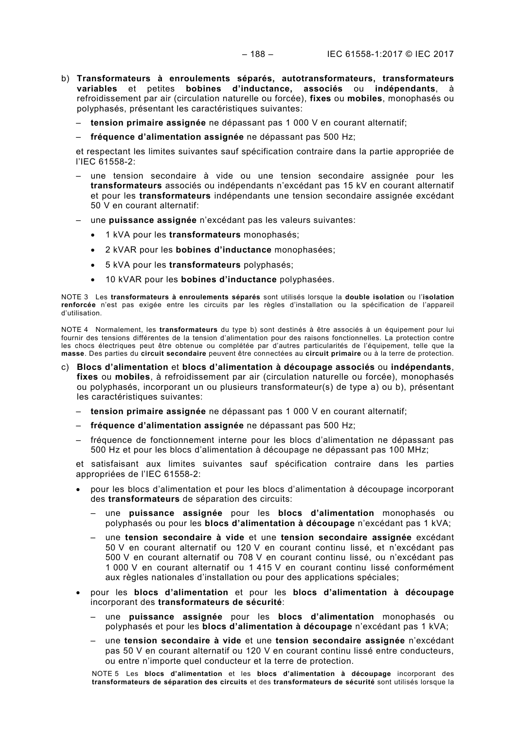- b) **Transformateurs à enroulements séparés, autotransformateurs, transformateurs variables** et petites **bobines d'inductance, associés** ou **indépendants**, à refroidissement par air (circulation naturelle ou forcée), **fixes** ou **mobiles**, monophasés ou polyphasés, présentant les caractéristiques suivantes:
	- **tension primaire assignée** ne dépassant pas 1 000 V en courant alternatif;
	- **fréquence d'alimentation assignée** ne dépassant pas 500 Hz;

et respectant les limites suivantes sauf spécification contraire dans la partie appropriée de l'IEC 61558-2:

- une tension secondaire à vide ou une tension secondaire assignée pour les **transformateurs** associés ou indépendants n'excédant pas 15 kV en courant alternatif et pour les **transformateurs** indépendants une tension secondaire assignée excédant 50 V en courant alternatif:
- une **puissance assignée** n'excédant pas les valeurs suivantes:
	- 1 kVA pour les **transformateurs** monophasés;
	- 2 kVAR pour les **bobines d'inductance** monophasées;
	- 5 kVA pour les **transformateurs** polyphasés;
	- 10 kVAR pour les **bobines d'inductance** polyphasées.

NOTE 3 Les **transformateurs à enroulements séparés** sont utilisés lorsque la **double isolation** ou l'**isolation renforcée** n'est pas exigée entre les circuits par les règles d'installation ou la spécification de l'appareil d'utilisation.

NOTE 4 Normalement, les **transformateurs** du type b) sont destinés à être associés à un équipement pour lui fournir des tensions différentes de la tension d'alimentation pour des raisons fonctionnelles. La protection contre les chocs électriques peut être obtenue ou complétée par d'autres particularités de l'équipement, telle que la **masse**. Des parties du **circuit secondaire** peuvent être connectées au **circuit primaire** ou à la terre de protection.

- c) **Blocs d'alimentation** et **blocs d'alimentation à découpage associés** ou **indépendants**, **fixes** ou **mobiles**, à refroidissement par air (circulation naturelle ou forcée), monophasés ou polyphasés, incorporant un ou plusieurs transformateur(s) de type a) ou b), présentant les caractéristiques suivantes:
	- **tension primaire assignée** ne dépassant pas 1 000 V en courant alternatif;
	- **fréquence d'alimentation assignée** ne dépassant pas 500 Hz;
	- fréquence de fonctionnement interne pour les blocs d'alimentation ne dépassant pas 500 Hz et pour les blocs d'alimentation à découpage ne dépassant pas 100 MHz;

et satisfaisant aux limites suivantes sauf spécification contraire dans les parties appropriées de l'IEC 61558-2:

- pour les blocs d'alimentation et pour les blocs d'alimentation à découpage incorporant des **transformateurs** de séparation des circuits:
	- une **puissance assignée** pour les **blocs d'alimentation** monophasés ou polyphasés ou pour les **blocs d'alimentation à découpage** n'excédant pas 1 kVA;
	- une **tension secondaire à vide** et une **tension secondaire assignée** excédant 50 V en courant alternatif ou 120 V en courant continu lissé, et n'excédant pas 500 V en courant alternatif ou 708 V en courant continu lissé, ou n'excédant pas 1 000 V en courant alternatif ou 1 415 V en courant continu lissé conformément aux règles nationales d'installation ou pour des applications spéciales;
- pour les **blocs d'alimentation** et pour les **blocs d'alimentation à découpage** incorporant des **transformateurs de sécurité**:
	- une **puissance assignée** pour les **blocs d'alimentation** monophasés ou polyphasés et pour les **blocs d'alimentation à découpage** n'excédant pas 1 kVA;
	- une **tension secondaire à vide** et une **tension secondaire assignée** n'excédant pas 50 V en courant alternatif ou 120 V en courant continu lissé entre conducteurs, ou entre n'importe quel conducteur et la terre de protection.

NOTE 5 Les **blocs d'alimentation** et les **blocs d'alimentation à découpage** incorporant des **transformateurs de séparation des circuits** et des **transformateurs de sécurité** sont utilisés lorsque la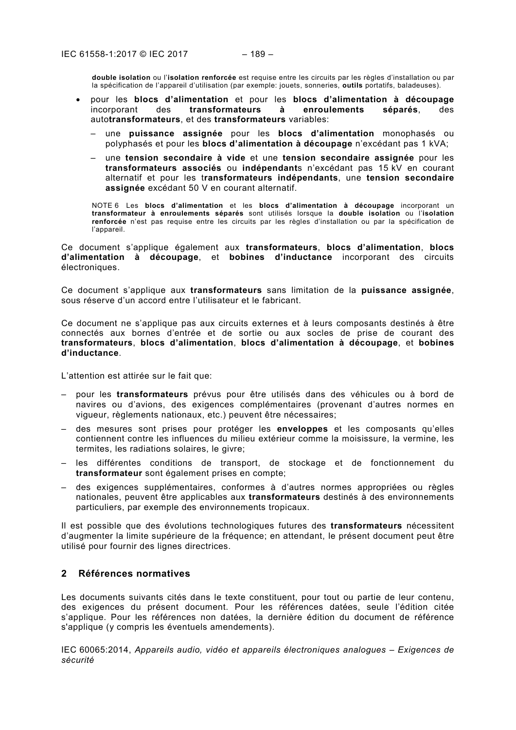**double isolation** ou l'**isolation renforcée** est requise entre les circuits par les règles d'installation ou par la spécification de l'appareil d'utilisation (par exemple: jouets, sonneries, **outils** portatifs, baladeuses).

- pour les **blocs d'alimentation** et pour les **blocs d'alimentation à découpage** transformateurs auto**transformateurs**, et des **transformateurs** variables:
	- une **puissance assignée** pour les **blocs d'alimentation** monophasés ou polyphasés et pour les **blocs d'alimentation à découpage** n'excédant pas 1 kVA;
	- une **tension secondaire à vide** et une **tension secondaire assignée** pour les **transformateurs associés** ou **indépendant**s n'excédant pas 15 kV en courant alternatif et pour les t**ransformateurs indépendants**, une **tension secondaire assignée** excédant 50 V en courant alternatif.

NOTE 6 Les **blocs d'alimentation** et les **blocs d'alimentation à découpage** incorporant un **transformateur à enroulements séparés** sont utilisés lorsque la **double isolation** ou l'**isolation renforcée** n'est pas requise entre les circuits par les règles d'installation ou par la spécification de l'appareil.

Ce document s'applique également aux **transformateurs**, **blocs d'alimentation**, **blocs d'alimentation à découpage**, et **bobines d'inductance** incorporant des circuits électroniques.

Ce document s'applique aux **transformateurs** sans limitation de la **puissance assignée**, sous réserve d'un accord entre l'utilisateur et le fabricant.

Ce document ne s'applique pas aux circuits externes et à leurs composants destinés à être connectés aux bornes d'entrée et de sortie ou aux socles de prise de courant des **transformateurs**, **blocs d'alimentation**, **blocs d'alimentation à découpage**, et **bobines d'inductance**.

L'attention est attirée sur le fait que:

- pour les **transformateurs** prévus pour être utilisés dans des véhicules ou à bord de navires ou d'avions, des exigences complémentaires (provenant d'autres normes en vigueur, règlements nationaux, etc.) peuvent être nécessaires;
- des mesures sont prises pour protéger les **enveloppes** et les composants qu'elles contiennent contre les influences du milieu extérieur comme la moisissure, la vermine, les termites, les radiations solaires, le givre;
- les différentes conditions de transport, de stockage et de fonctionnement du **transformateur** sont également prises en compte;
- des exigences supplémentaires, conformes à d'autres normes appropriées ou règles nationales, peuvent être applicables aux **transformateurs** destinés à des environnements particuliers, par exemple des environnements tropicaux.

Il est possible que des évolutions technologiques futures des **transformateurs** nécessitent d'augmenter la limite supérieure de la fréquence; en attendant, le présent document peut être utilisé pour fournir des lignes directrices.

## <span id="page-34-0"></span>**2 Références normatives**

Les documents suivants cités dans le texte constituent, pour tout ou partie de leur contenu, des exigences du présent document. Pour les références datées, seule l'édition citée s'applique. Pour les références non datées, la dernière édition du document de référence s'applique (y compris les éventuels amendements).

IEC 60065:2014, *Appareils audio, vidéo et appareils électroniques analogues – Exigences de sécurité*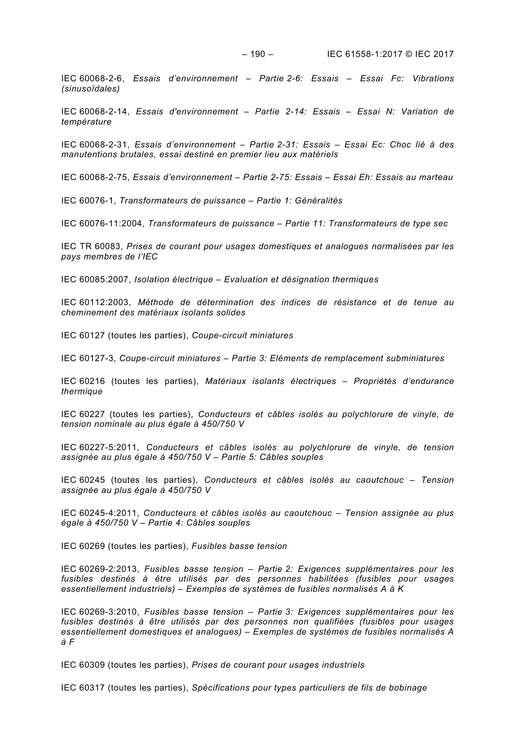IEC 60068-2-6, *Essais d'environnement – Partie 2-6: Essais – Essai Fc: Vibrations (sinusoïdales)* 

IEC 60068-2-14, *Essais d'environnement – Partie 2-14: Essais – Essai N: Variation de température*

IEC 60068-2-31, *Essais d'environnement – Partie 2-31: Essais – Essai Ec: Choc lié à des manutentions brutales, essai destiné en premier lieu aux matériels*

IEC 60068-2-75, *Essais d'environnement – Partie 2-75: Essais – Essai Eh: Essais au marteau*

IEC 60076-1, *Transformateurs de puissance – Partie 1: Généralités*

IEC 60076-11:2004, *Transformateurs de puissance – Partie 11: Transformateurs de type sec*

IEC TR 60083, *Prises de courant pour usages domestiques et analogues normalisées par les pays membres de l'IEC*

IEC 60085:2007, *Isolation électrique – Evaluation et désignation thermiques*

IEC 60112:2003, *Méthode de détermination des indices de résistance et de tenue au cheminement des matériaux isolants solides*

IEC 60127 (toutes les parties), *Coupe-circuit miniatures* 

IEC 60127-3, *Coupe-circuit miniatures – Partie 3: Eléments de remplacement subminiatures*

IEC 60216 (toutes les parties), *Matériaux isolants électriques – Propriétés d'endurance thermique*

IEC 60227 (toutes les parties), *Conducteurs et câbles isolés au polychlorure de vinyle, de tension nominale au plus égale à 450/750 V* 

IEC 60227-5:2011, *Conducteurs et câbles isolés au polychlorure de vinyle, de tension assignée au plus égale à 450/750 V – Partie 5: Câbles souples*

IEC 60245 (toutes les parties), *Conducteurs et câbles isolés au caoutchouc – Tension assignée au plus égale à 450/750 V* 

IEC 60245-4:2011, *Conducteurs et câbles isolés au caoutchouc – Tension assignée au plus égale à 450/750 V – Partie 4: Câbles souples*

IEC 60269 (toutes les parties), *Fusibles basse tension*

IEC 60269-2:2013, *Fusibles basse tension – Partie 2: Exigences supplémentaires pour les fusibles destinés à être utilisés par des personnes habilitées (fusibles pour usages essentiellement industriels) – Exemples de systèmes de fusibles normalisés A à K*

IEC 60269-3:2010, *Fusibles basse tension – Partie 3: Exigences supplémentaires pour les fusibles destinés à être utilisés par des personnes non qualifiées (fusibles pour usages essentiellement domestiques et analogues) – Exemples de systèmes de fusibles normalisés A à F*

IEC 60309 (toutes les parties), *Prises de courant pour usages industriels*

IEC 60317 (toutes les parties), *Spécifications pour types particuliers de fils de bobinage*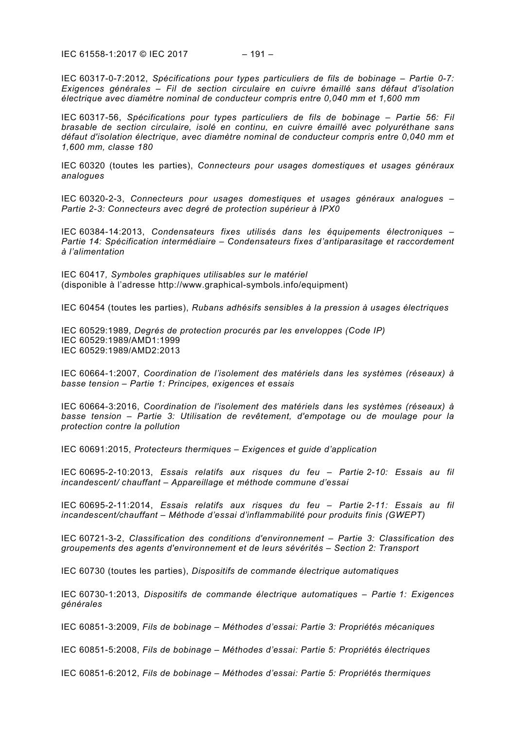IEC 61558-1:2017 © IEC 2017 – 191 –

IEC 60317-0-7:2012, *Spécifications pour types particuliers de fils de bobinage – Partie 0-7: Exigences générales – Fil de section circulaire en cuivre émaillé sans défaut d'isolation électrique avec diamètre nominal de conducteur compris entre 0,040 mm et 1,600 mm*

IEC 60317-56, *Spécifications pour types particuliers de fils de bobinage – Partie 56: Fil brasable de section circulaire, isolé en continu, en cuivre émaillé avec polyuréthane sans défaut d'isolation électrique, avec diamètre nominal de conducteur compris entre 0,040 mm et 1,600 mm, classe 180*

IEC 60320 (toutes les parties), *Connecteurs pour usages domestiques et usages généraux analogues*

IEC 60320-2-3, *Connecteurs pour usages domestiques et usages généraux analogues – Partie 2-3: Connecteurs avec degré de protection supérieur à IPX0*

IEC 60384-14:2013, *Condensateurs fixes utilisés dans les équipements électroniques – Partie 14: Spécification intermédiaire – Condensateurs fixes d'antiparasitage et raccordement à l'alimentation*

IEC 60417*, Symboles graphiques utilisables sur le matériel*  (disponible à l'adresse http://www.graphical-symbols.info/equipment)

IEC 60454 (toutes les parties), *Rubans adhésifs sensibles à la pression à usages électriques*

IEC 60529:1989, *Degrés de protection procurés par les enveloppes (Code IP)* IEC 60529:1989/AMD1:1999 IEC 60529:1989/AMD2:2013

IEC 60664-1:2007, *Coordination de l'isolement des matériels dans les systèmes (réseaux) à basse tension – Partie 1: Principes, exigences et essais*

IEC 60664-3:2016, *Coordination de l'isolement des matériels dans les systèmes (réseaux) à basse tension – Partie 3: Utilisation de revêtement, d'empotage ou de moulage pour la protection contre la pollution*

IEC 60691:2015, *Protecteurs thermiques – Exigences et guide d'application*

IEC 60695-2-10:2013, *Essais relatifs aux risques du feu – Partie 2-10: Essais au fil incandescent/ chauffant – Appareillage et méthode commune d'essai*

IEC 60695-2-11:2014, *Essais relatifs aux risques du feu – Partie 2-11: Essais au fil incandescent/chauffant – Méthode d'essai d'inflammabilité pour produits finis (GWEPT)*

IEC 60721-3-2, *Classification des conditions d'environnement – Partie 3: Classification des groupements des agents d'environnement et de leurs sévérités – Section 2: Transport*

IEC 60730 (toutes les parties), *Dispositifs de commande électrique automatiques*

IEC 60730-1:2013, *Dispositifs de commande électrique automatiques – Partie 1: Exigences générales*

IEC 60851-3:2009, *Fils de bobinage – Méthodes d'essai: Partie 3: Propriétés mécaniques*

IEC 60851-5:2008, *Fils de bobinage – Méthodes d'essai: Partie 5: Propriétés électriques*

IEC 60851-6:2012, *Fils de bobinage – Méthodes d'essai: Partie 5: Propriétés thermiques*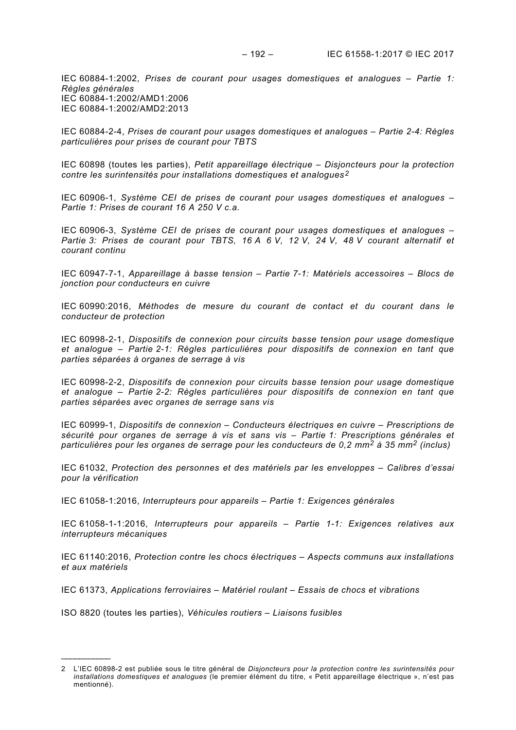IEC 60884-1:2002, *Prises de courant pour usages domestiques et analogues – Partie 1: Règles générales* IEC 60884-1:2002/AMD1:2006 IEC 60884-1:2002/AMD2:2013

IEC 60884-2-4, *Prises de courant pour usages domestiques et analogues – Partie 2-4: Règles particulières pour prises de courant pour TBTS*

IEC 60898 (toutes les parties), *Petit appareillage électrique – Disjoncteurs pour la protection contre les surintensités pour installations domestiques et analogues[2](#page-37-0)*

IEC 60906-1, *Système CEI de prises de courant pour usages domestiques et analogues – Partie 1: Prises de courant 16 A 250 V c.a.*

IEC 60906-3, *Système CEI de prises de courant pour usages domestiques et analogues – Partie 3: Prises de courant pour TBTS, 16 A 6 V, 12 V, 24 V, 48 V courant alternatif et courant continu*

IEC 60947-7-1, *Appareillage à basse tension – Partie 7-1: Matériels accessoires – Blocs de jonction pour conducteurs en cuivre*

IEC 60990:2016, *Méthodes de mesure du courant de contact et du courant dans le conducteur de protection*

IEC 60998-2-1, *Dispositifs de connexion pour circuits basse tension pour usage domestique et analogue – Partie 2-1: Règles particulières pour dispositifs de connexion en tant que parties séparées à organes de serrage à vis*

IEC 60998-2-2, *Dispositifs de connexion pour circuits basse tension pour usage domestique et analogue – Partie 2-2: Règles particulières pour dispositifs de connexion en tant que parties séparées avec organes de serrage sans vis*

IEC 60999-1, *Dispositifs de connexion – Conducteurs électriques en cuivre – Prescriptions de sécurité pour organes de serrage à vis et sans vis – Partie 1: Prescriptions générales et particulières pour les organes de serrage pour les conducteurs de 0,2 mm<sup>2</sup> à 35 mm<sup>2</sup> (inclus)*

IEC 61032, *Protection des personnes et des matériels par les enveloppes – Calibres d'essai pour la vérification*

IEC 61058-1:2016, *Interrupteurs pour appareils – Partie 1: Exigences générales*

IEC 61058-1-1:2016, *Interrupteurs pour appareils – Partie 1-1: Exigences relatives aux interrupteurs mécaniques*

IEC 61140:2016, *Protection contre les chocs électriques – Aspects communs aux installations et aux matériels*

IEC 61373, *Applications ferroviaires – Matériel roulant – Essais de chocs et vibrations*

ISO 8820 (toutes les parties), *Véhicules routiers – Liaisons fusibles*

\_\_\_\_\_\_\_\_\_\_\_\_\_

<span id="page-37-0"></span><sup>2</sup> L'IEC 60898-2 est publiée sous le titre général de *Disjoncteurs pour la protection contre les surintensités pour installations domestiques et analogues* (le premier élément du titre, « Petit appareillage électrique », n'est pas mentionné).